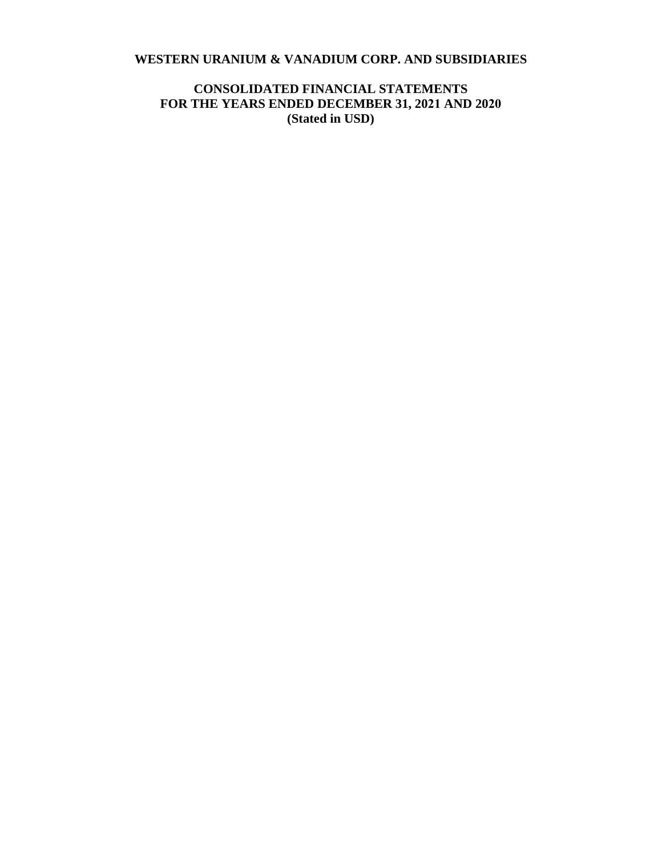# **WESTERN URANIUM & VANADIUM CORP. AND SUBSIDIARIES**

# **CONSOLIDATED FINANCIAL STATEMENTS FOR THE YEARS ENDED DECEMBER 31, 2021 AND 2020 (Stated in USD)**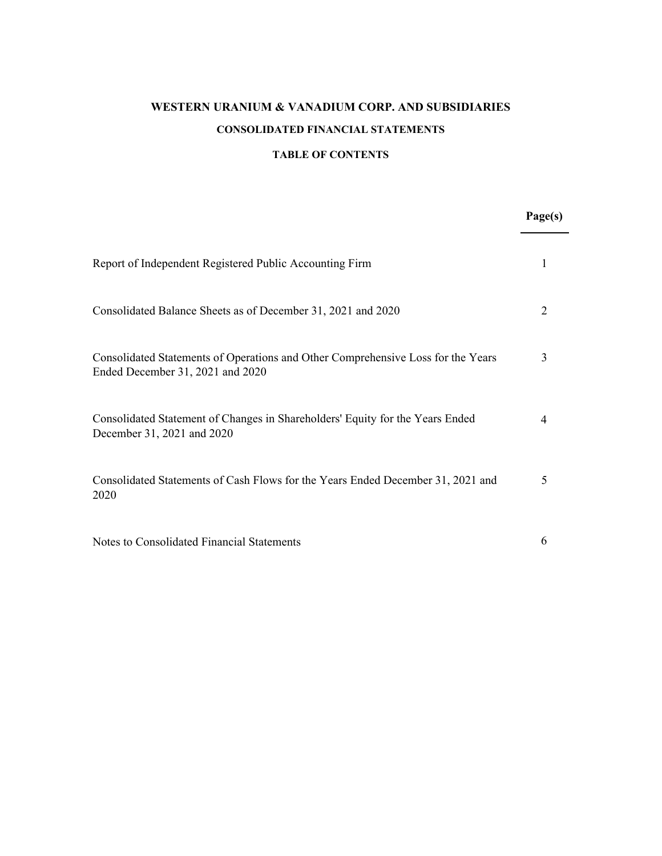# **WESTERN URANIUM & VANADIUM CORP. AND SUBSIDIARIES CONSOLIDATED FINANCIAL STATEMENTS**

## **TABLE OF CONTENTS**

**Page(s)**

| Report of Independent Registered Public Accounting Firm                                                              |   |
|----------------------------------------------------------------------------------------------------------------------|---|
| Consolidated Balance Sheets as of December 31, 2021 and 2020                                                         | 2 |
| Consolidated Statements of Operations and Other Comprehensive Loss for the Years<br>Ended December 31, 2021 and 2020 | 3 |
| Consolidated Statement of Changes in Shareholders' Equity for the Years Ended<br>December 31, 2021 and 2020          |   |
| Consolidated Statements of Cash Flows for the Years Ended December 31, 2021 and<br>2020                              | 5 |
| Notes to Consolidated Financial Statements                                                                           | 6 |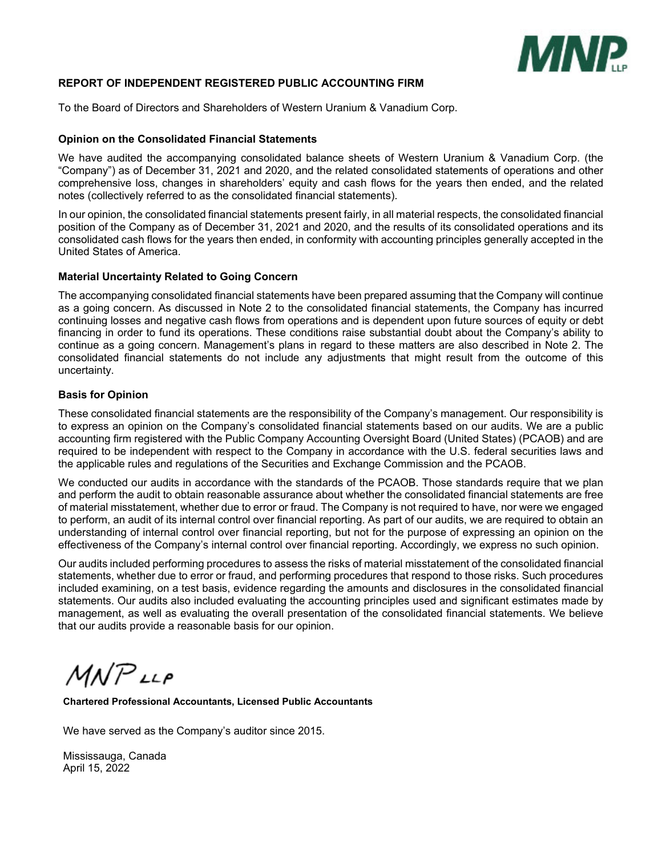

## **REPORT OF INDEPENDENT REGISTERED PUBLIC ACCOUNTING FIRM**

To the Board of Directors and Shareholders of Western Uranium & Vanadium Corp.

#### **Opinion on the Consolidated Financial Statements**

We have audited the accompanying consolidated balance sheets of Western Uranium & Vanadium Corp. (the "Company") as of December 31, 2021 and 2020, and the related consolidated statements of operations and other comprehensive loss, changes in shareholders' equity and cash flows for the years then ended, and the related notes (collectively referred to as the consolidated financial statements).

In our opinion, the consolidated financial statements present fairly, in all material respects, the consolidated financial position of the Company as of December 31, 2021 and 2020, and the results of its consolidated operations and its consolidated cash flows for the years then ended, in conformity with accounting principles generally accepted in the United States of America.

#### **Material Uncertainty Related to Going Concern**

The accompanying consolidated financial statements have been prepared assuming that the Company will continue as a going concern. As discussed in Note 2 to the consolidated financial statements, the Company has incurred continuing losses and negative cash flows from operations and is dependent upon future sources of equity or debt financing in order to fund its operations. These conditions raise substantial doubt about the Company's ability to continue as a going concern. Management's plans in regard to these matters are also described in Note 2. The consolidated financial statements do not include any adjustments that might result from the outcome of this uncertainty.

#### **Basis for Opinion**

These consolidated financial statements are the responsibility of the Company's management. Our responsibility is to express an opinion on the Company's consolidated financial statements based on our audits. We are a public accounting firm registered with the Public Company Accounting Oversight Board (United States) (PCAOB) and are required to be independent with respect to the Company in accordance with the U.S. federal securities laws and the applicable rules and regulations of the Securities and Exchange Commission and the PCAOB.

We conducted our audits in accordance with the standards of the PCAOB. Those standards require that we plan and perform the audit to obtain reasonable assurance about whether the consolidated financial statements are free of material misstatement, whether due to error or fraud. The Company is not required to have, nor were we engaged to perform, an audit of its internal control over financial reporting. As part of our audits, we are required to obtain an understanding of internal control over financial reporting, but not for the purpose of expressing an opinion on the effectiveness of the Company's internal control over financial reporting. Accordingly, we express no such opinion.

Our audits included performing procedures to assess the risks of material misstatement of the consolidated financial statements, whether due to error or fraud, and performing procedures that respond to those risks. Such procedures included examining, on a test basis, evidence regarding the amounts and disclosures in the consolidated financial statements. Our audits also included evaluating the accounting principles used and significant estimates made by management, as well as evaluating the overall presentation of the consolidated financial statements. We believe that our audits provide a reasonable basis for our opinion.

**MNPLLP** 

**Chartered Professional Accountants, Licensed Public Accountants**

We have served as the Company's auditor since 2015.

Mississauga, Canada April 15, 2022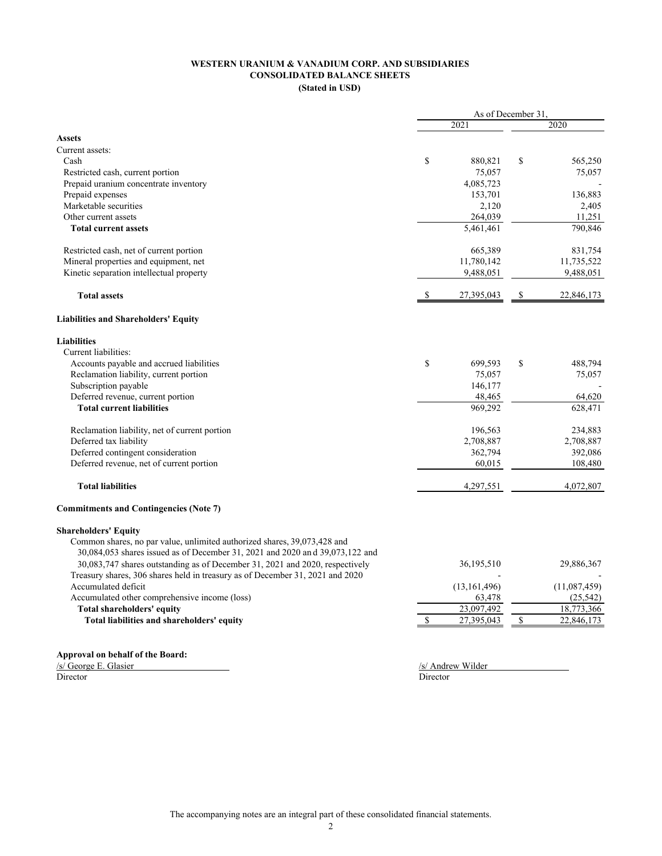#### **WESTERN URANIUM & VANADIUM CORP. AND SUBSIDIARIES CONSOLIDATED BALANCE SHEETS (Stated in USD)**

|                                                                                                                                                          | As of December 31, |                |    |              |
|----------------------------------------------------------------------------------------------------------------------------------------------------------|--------------------|----------------|----|--------------|
|                                                                                                                                                          |                    | 2021           |    | 2020         |
| <b>Assets</b>                                                                                                                                            |                    |                |    |              |
| Current assets:                                                                                                                                          |                    |                |    |              |
| Cash                                                                                                                                                     | \$                 | 880,821        | \$ | 565,250      |
| Restricted cash, current portion                                                                                                                         |                    | 75,057         |    | 75,057       |
| Prepaid uranium concentrate inventory                                                                                                                    |                    | 4,085,723      |    |              |
| Prepaid expenses                                                                                                                                         |                    | 153,701        |    | 136,883      |
| Marketable securities                                                                                                                                    |                    | 2,120          |    | 2,405        |
| Other current assets                                                                                                                                     |                    | 264,039        |    | 11,251       |
| <b>Total current assets</b>                                                                                                                              |                    | 5,461,461      |    | 790,846      |
| Restricted cash, net of current portion                                                                                                                  |                    | 665,389        |    | 831,754      |
| Mineral properties and equipment, net                                                                                                                    |                    | 11,780,142     |    | 11,735,522   |
| Kinetic separation intellectual property                                                                                                                 |                    | 9,488,051      |    | 9,488,051    |
| <b>Total assets</b>                                                                                                                                      |                    | 27,395,043     |    | 22,846,173   |
| <b>Liabilities and Shareholders' Equity</b>                                                                                                              |                    |                |    |              |
| <b>Liabilities</b>                                                                                                                                       |                    |                |    |              |
| Current liabilities:                                                                                                                                     |                    |                |    |              |
| Accounts payable and accrued liabilities                                                                                                                 | \$                 | 699,593        | \$ | 488,794      |
| Reclamation liability, current portion                                                                                                                   |                    | 75,057         |    | 75,057       |
| Subscription payable                                                                                                                                     |                    | 146,177        |    |              |
| Deferred revenue, current portion                                                                                                                        |                    | 48,465         |    | 64,620       |
| <b>Total current liabilities</b>                                                                                                                         |                    | 969,292        |    | 628,471      |
| Reclamation liability, net of current portion                                                                                                            |                    | 196,563        |    | 234,883      |
| Deferred tax liability                                                                                                                                   |                    | 2,708,887      |    | 2,708,887    |
| Deferred contingent consideration                                                                                                                        |                    | 362,794        |    | 392,086      |
| Deferred revenue, net of current portion                                                                                                                 |                    | 60,015         |    | 108,480      |
| <b>Total liabilities</b>                                                                                                                                 |                    | 4,297,551      |    | 4,072,807    |
| <b>Commitments and Contingencies (Note 7)</b>                                                                                                            |                    |                |    |              |
| <b>Shareholders' Equity</b>                                                                                                                              |                    |                |    |              |
| Common shares, no par value, unlimited authorized shares, 39,073,428 and<br>30,084,053 shares issued as of December 31, 2021 and 2020 and 39,073,122 and |                    |                |    |              |
| 30,083,747 shares outstanding as of December 31, 2021 and 2020, respectively                                                                             |                    | 36,195,510     |    | 29,886,367   |
| Treasury shares, 306 shares held in treasury as of December 31, 2021 and 2020                                                                            |                    |                |    |              |
| Accumulated deficit                                                                                                                                      |                    | (13, 161, 496) |    | (11,087,459) |
| Accumulated other comprehensive income (loss)                                                                                                            |                    | 63,478         |    | (25, 542)    |
| Total shareholders' equity                                                                                                                               |                    | 23,097,492     |    | 18,773,366   |
| Total liabilities and shareholders' equity                                                                                                               |                    | 27,395,043     | \$ | 22,846,173   |

**Approval on behalf of the Board:**

/s/ George E. Glasier /s/ Andrew Wilder /s/ Andrew Wilder /s/ Andrew Wilder /s/ Andrew Wilder /s/ Andrew Wilder /s/ Andrew Wilder /s/ Andrew Wilder /s/ Andrew Wilder /s/ Andrew Wilder /s/ Andrew Wilder /s/ Andrew Wilder /s Director Director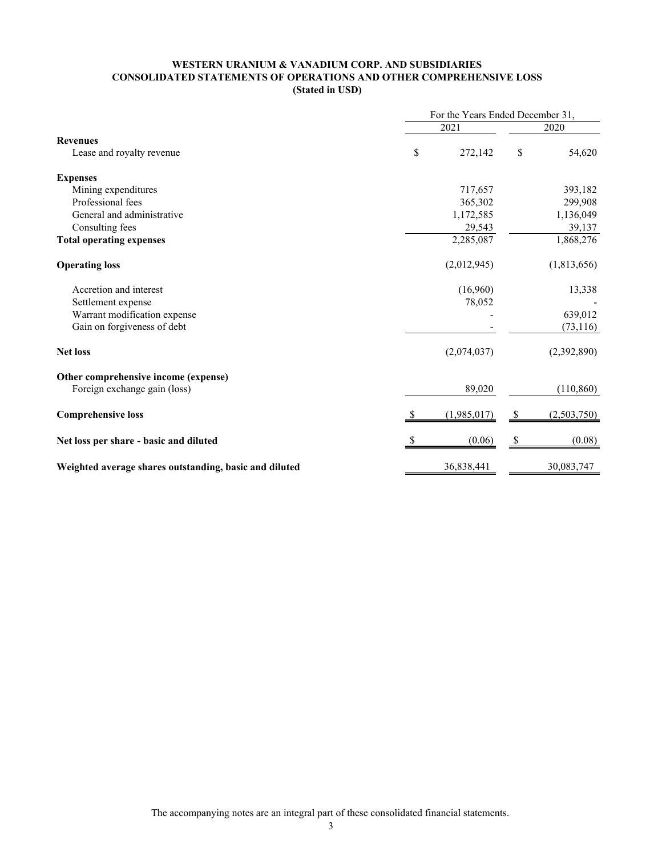## **WESTERN URANIUM & VANADIUM CORP. AND SUBSIDIARIES CONSOLIDATED STATEMENTS OF OPERATIONS AND OTHER COMPREHENSIVE LOSS (Stated in USD)**

|                                                        | For the Years Ended December 31, |             |    |             |  |  |  |
|--------------------------------------------------------|----------------------------------|-------------|----|-------------|--|--|--|
|                                                        |                                  | 2021        |    | 2020        |  |  |  |
| <b>Revenues</b>                                        |                                  |             |    |             |  |  |  |
| Lease and royalty revenue                              | \$                               | 272,142     | \$ | 54,620      |  |  |  |
| <b>Expenses</b>                                        |                                  |             |    |             |  |  |  |
| Mining expenditures                                    |                                  | 717,657     |    | 393,182     |  |  |  |
| Professional fees                                      |                                  | 365,302     |    | 299,908     |  |  |  |
| General and administrative                             |                                  | 1,172,585   |    | 1,136,049   |  |  |  |
| Consulting fees                                        |                                  | 29,543      |    | 39,137      |  |  |  |
| <b>Total operating expenses</b>                        |                                  | 2,285,087   |    | 1,868,276   |  |  |  |
| <b>Operating loss</b>                                  |                                  | (2,012,945) |    | (1,813,656) |  |  |  |
| Accretion and interest                                 |                                  | (16,960)    |    | 13,338      |  |  |  |
| Settlement expense                                     |                                  | 78,052      |    |             |  |  |  |
| Warrant modification expense                           |                                  |             |    | 639,012     |  |  |  |
| Gain on forgiveness of debt                            |                                  |             |    | (73, 116)   |  |  |  |
| <b>Net loss</b>                                        |                                  | (2,074,037) |    | (2,392,890) |  |  |  |
| Other comprehensive income (expense)                   |                                  |             |    |             |  |  |  |
| Foreign exchange gain (loss)                           |                                  | 89,020      |    | (110, 860)  |  |  |  |
| <b>Comprehensive loss</b>                              |                                  | (1,985,017) |    | (2,503,750) |  |  |  |
| Net loss per share - basic and diluted                 |                                  | (0.06)      |    | (0.08)      |  |  |  |
| Weighted average shares outstanding, basic and diluted |                                  | 36,838,441  |    | 30,083,747  |  |  |  |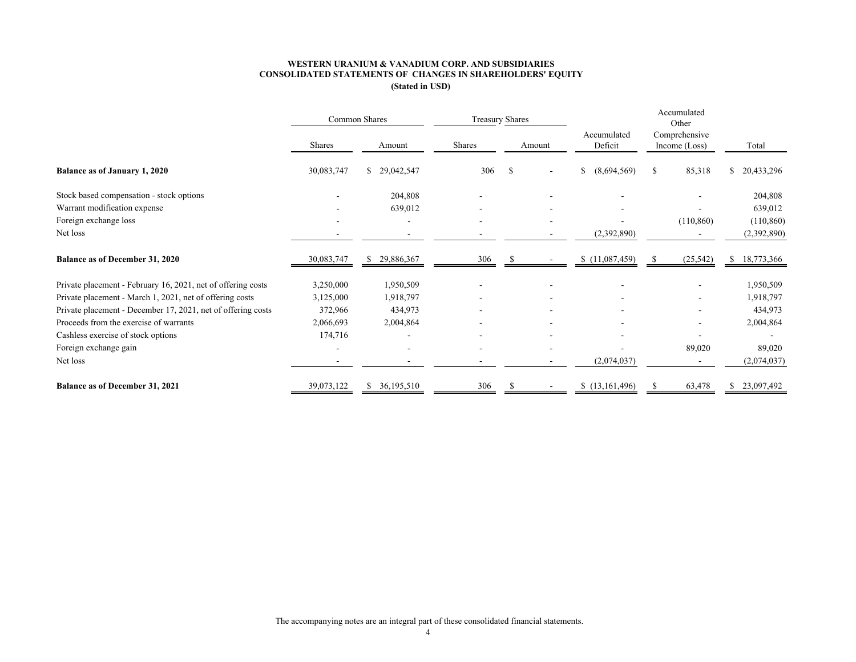#### **WESTERN URANIUM & VANADIUM CORP. AND SUBSIDIARIES CONSOLIDATED STATEMENTS OF CHANGES IN SHAREHOLDERS' EQUITY (Stated in USD)**

|                                                              |            | Common Shares            |        | <b>Treasury Shares</b> |        |                        | Accumulated<br>Other           |                  |
|--------------------------------------------------------------|------------|--------------------------|--------|------------------------|--------|------------------------|--------------------------------|------------------|
|                                                              | Shares     | Amount                   | Shares |                        | Amount | Accumulated<br>Deficit | Comprehensive<br>Income (Loss) | Total            |
| <b>Balance as of January 1, 2020</b>                         | 30,083,747 | \$29,042,547             | 306    | <sup>\$</sup>          | $\sim$ | \$<br>(8,694,569)      | 85,318<br><sup>\$</sup>        | 20,433,296<br>\$ |
| Stock based compensation - stock options                     |            | 204,808                  |        |                        |        |                        |                                | 204,808          |
| Warrant modification expense                                 |            | 639,012                  |        |                        |        |                        |                                | 639,012          |
| Foreign exchange loss                                        |            |                          |        |                        |        |                        | (110, 860)                     | (110, 860)       |
| Net loss                                                     |            | ٠                        |        |                        |        | (2,392,890)            |                                | (2,392,890)      |
| <b>Balance as of December 31, 2020</b>                       | 30,083,747 | 29,886,367<br>S.         | 306    |                        |        | (11,087,459)           | (25, 542)<br>-S                | 18,773,366<br>S. |
| Private placement - February 16, 2021, net of offering costs | 3,250,000  | 1,950,509                |        |                        |        |                        |                                | 1,950,509        |
| Private placement - March 1, 2021, net of offering costs     | 3,125,000  | 1,918,797                |        |                        |        |                        |                                | 1,918,797        |
| Private placement - December 17, 2021, net of offering costs | 372,966    | 434,973                  |        |                        |        |                        |                                | 434,973          |
| Proceeds from the exercise of warrants                       | 2,066,693  | 2,004,864                |        |                        |        |                        |                                | 2,004,864        |
| Cashless exercise of stock options                           | 174,716    |                          |        |                        |        |                        |                                |                  |
| Foreign exchange gain                                        |            | $\overline{\phantom{a}}$ |        |                        |        |                        | 89,020                         | 89,020           |
| Net loss                                                     |            |                          |        |                        |        | (2,074,037)            |                                | (2,074,037)      |
| <b>Balance as of December 31, 2021</b>                       | 39,073,122 | 36,195,510               | 306    |                        |        | \$(13,161,496)         | 63,478                         | 23,097,492       |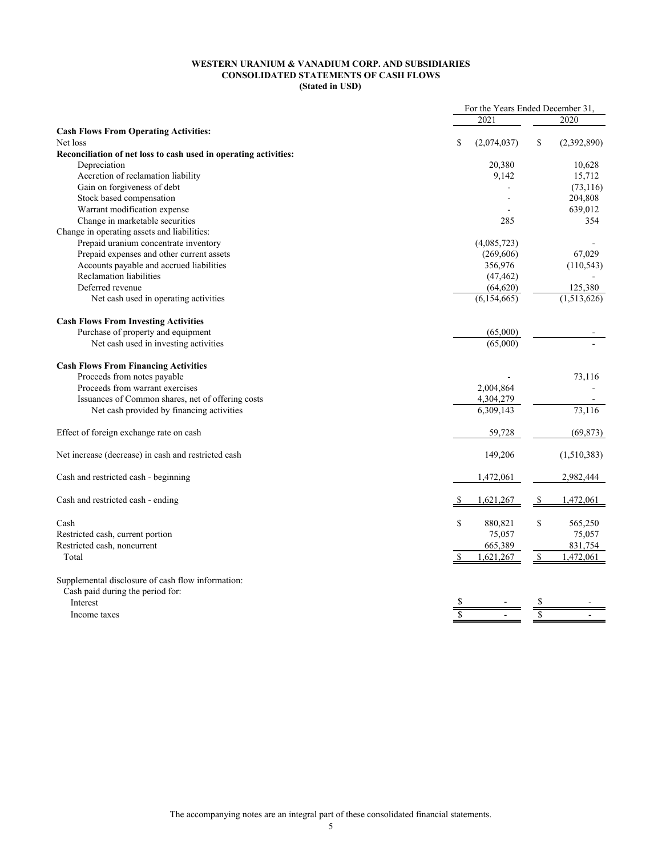#### **WESTERN URANIUM & VANADIUM CORP. AND SUBSIDIARIES CONSOLIDATED STATEMENTS OF CASH FLOWS (Stated in USD)**

|                                                                  | For the Years Ended December 31, |             |             |
|------------------------------------------------------------------|----------------------------------|-------------|-------------|
|                                                                  | 2021                             |             | 2020        |
| <b>Cash Flows From Operating Activities:</b>                     |                                  |             |             |
| Net loss                                                         | S<br>(2,074,037)                 | \$          | (2,392,890) |
| Reconciliation of net loss to cash used in operating activities: |                                  |             |             |
| Depreciation                                                     | 20,380                           |             | 10,628      |
| Accretion of reclamation liability                               | 9,142                            |             | 15.712      |
| Gain on forgiveness of debt                                      |                                  |             | (73, 116)   |
| Stock based compensation                                         |                                  |             | 204,808     |
| Warrant modification expense                                     |                                  |             | 639,012     |
| Change in marketable securities                                  | 285                              |             | 354         |
| Change in operating assets and liabilities:                      |                                  |             |             |
| Prepaid uranium concentrate inventory                            | (4,085,723)                      |             |             |
| Prepaid expenses and other current assets                        | (269,606)                        |             | 67,029      |
| Accounts payable and accrued liabilities                         | 356,976                          |             | (110, 543)  |
| Reclamation liabilities                                          | (47, 462)                        |             |             |
| Deferred revenue                                                 |                                  |             |             |
|                                                                  | (64, 620)                        |             | 125,380     |
| Net cash used in operating activities                            | (6,154,665)                      |             | (1,513,626) |
| <b>Cash Flows From Investing Activities</b>                      |                                  |             |             |
| Purchase of property and equipment                               | (65,000)                         |             |             |
| Net cash used in investing activities                            | (65,000)                         |             |             |
| <b>Cash Flows From Financing Activities</b>                      |                                  |             |             |
| Proceeds from notes payable                                      |                                  |             | 73,116      |
| Proceeds from warrant exercises                                  | 2,004,864                        |             |             |
| Issuances of Common shares, net of offering costs                | 4,304,279                        |             |             |
| Net cash provided by financing activities                        | 6,309,143                        |             | 73,116      |
|                                                                  |                                  |             |             |
| Effect of foreign exchange rate on cash                          | 59,728                           |             | (69, 873)   |
| Net increase (decrease) in cash and restricted cash              | 149,206                          |             | (1,510,383) |
|                                                                  |                                  |             |             |
| Cash and restricted cash - beginning                             | 1,472,061                        |             | 2,982,444   |
| Cash and restricted cash - ending                                | 1,621,267                        |             | 1,472,061   |
| Cash                                                             | \$<br>880,821                    | \$          | 565,250     |
| Restricted cash, current portion                                 | 75,057                           |             | 75,057      |
| Restricted cash, noncurrent                                      | 665,389                          |             | 831,754     |
| Total                                                            | S<br>1,621,267                   | $\mathbb S$ | 1,472,061   |
|                                                                  |                                  |             |             |
| Supplemental disclosure of cash flow information:                |                                  |             |             |
| Cash paid during the period for:                                 |                                  |             |             |
| Interest                                                         |                                  | \$          |             |
| Income taxes                                                     |                                  | \$          |             |
|                                                                  |                                  |             |             |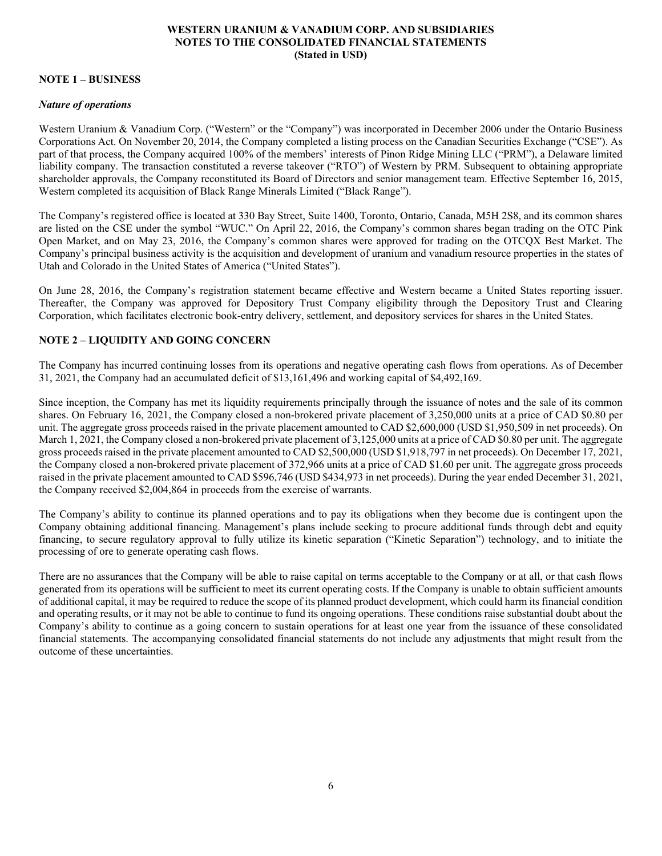## **NOTE 1 – BUSINESS**

#### *Nature of operations*

Western Uranium & Vanadium Corp. ("Western" or the "Company") was incorporated in December 2006 under the Ontario Business Corporations Act. On November 20, 2014, the Company completed a listing process on the Canadian Securities Exchange ("CSE"). As part of that process, the Company acquired 100% of the members' interests of Pinon Ridge Mining LLC ("PRM"), a Delaware limited liability company. The transaction constituted a reverse takeover ("RTO") of Western by PRM. Subsequent to obtaining appropriate shareholder approvals, the Company reconstituted its Board of Directors and senior management team. Effective September 16, 2015, Western completed its acquisition of Black Range Minerals Limited ("Black Range").

The Company's registered office is located at 330 Bay Street, Suite 1400, Toronto, Ontario, Canada, M5H 2S8, and its common shares are listed on the CSE under the symbol "WUC." On April 22, 2016, the Company's common shares began trading on the OTC Pink Open Market, and on May 23, 2016, the Company's common shares were approved for trading on the OTCQX Best Market. The Company's principal business activity is the acquisition and development of uranium and vanadium resource properties in the states of Utah and Colorado in the United States of America ("United States").

On June 28, 2016, the Company's registration statement became effective and Western became a United States reporting issuer. Thereafter, the Company was approved for Depository Trust Company eligibility through the Depository Trust and Clearing Corporation, which facilitates electronic book-entry delivery, settlement, and depository services for shares in the United States.

## **NOTE 2 – LIQUIDITY AND GOING CONCERN**

The Company has incurred continuing losses from its operations and negative operating cash flows from operations. As of December 31, 2021, the Company had an accumulated deficit of \$13,161,496 and working capital of \$4,492,169.

Since inception, the Company has met its liquidity requirements principally through the issuance of notes and the sale of its common shares. On February 16, 2021, the Company closed a non-brokered private placement of 3,250,000 units at a price of CAD \$0.80 per unit. The aggregate gross proceeds raised in the private placement amounted to CAD \$2,600,000 (USD \$1,950,509 in net proceeds). On March 1, 2021, the Company closed a non-brokered private placement of 3,125,000 units at a price of CAD \$0.80 per unit. The aggregate gross proceeds raised in the private placement amounted to CAD \$2,500,000 (USD \$1,918,797 in net proceeds). On December 17, 2021, the Company closed a non-brokered private placement of 372,966 units at a price of CAD \$1.60 per unit. The aggregate gross proceeds raised in the private placement amounted to CAD \$596,746 (USD \$434,973 in net proceeds). During the year ended December 31, 2021, the Company received \$2,004,864 in proceeds from the exercise of warrants.

The Company's ability to continue its planned operations and to pay its obligations when they become due is contingent upon the Company obtaining additional financing. Management's plans include seeking to procure additional funds through debt and equity financing, to secure regulatory approval to fully utilize its kinetic separation ("Kinetic Separation") technology, and to initiate the processing of ore to generate operating cash flows.

There are no assurances that the Company will be able to raise capital on terms acceptable to the Company or at all, or that cash flows generated from its operations will be sufficient to meet its current operating costs. If the Company is unable to obtain sufficient amounts of additional capital, it may be required to reduce the scope of its planned product development, which could harm its financial condition and operating results, or it may not be able to continue to fund its ongoing operations. These conditions raise substantial doubt about the Company's ability to continue as a going concern to sustain operations for at least one year from the issuance of these consolidated financial statements. The accompanying consolidated financial statements do not include any adjustments that might result from the outcome of these uncertainties.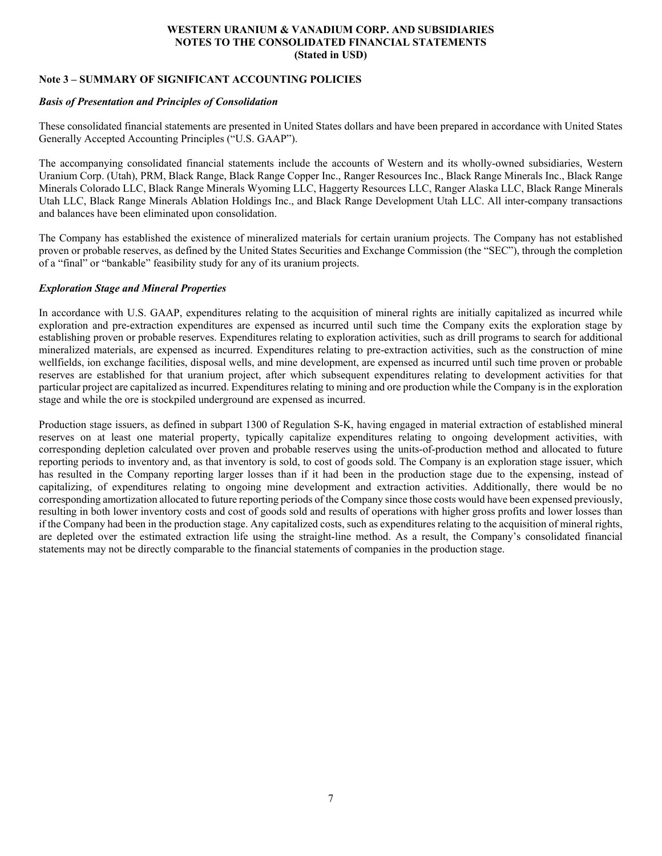## **Note 3 – SUMMARY OF SIGNIFICANT ACCOUNTING POLICIES**

#### *Basis of Presentation and Principles of Consolidation*

These consolidated financial statements are presented in United States dollars and have been prepared in accordance with United States Generally Accepted Accounting Principles ("U.S. GAAP").

The accompanying consolidated financial statements include the accounts of Western and its wholly-owned subsidiaries, Western Uranium Corp. (Utah), PRM, Black Range, Black Range Copper Inc., Ranger Resources Inc., Black Range Minerals Inc., Black Range Minerals Colorado LLC, Black Range Minerals Wyoming LLC, Haggerty Resources LLC, Ranger Alaska LLC, Black Range Minerals Utah LLC, Black Range Minerals Ablation Holdings Inc., and Black Range Development Utah LLC. All inter-company transactions and balances have been eliminated upon consolidation.

The Company has established the existence of mineralized materials for certain uranium projects. The Company has not established proven or probable reserves, as defined by the United States Securities and Exchange Commission (the "SEC"), through the completion of a "final" or "bankable" feasibility study for any of its uranium projects.

#### *Exploration Stage and Mineral Properties*

In accordance with U.S. GAAP, expenditures relating to the acquisition of mineral rights are initially capitalized as incurred while exploration and pre-extraction expenditures are expensed as incurred until such time the Company exits the exploration stage by establishing proven or probable reserves. Expenditures relating to exploration activities, such as drill programs to search for additional mineralized materials, are expensed as incurred. Expenditures relating to pre-extraction activities, such as the construction of mine wellfields, ion exchange facilities, disposal wells, and mine development, are expensed as incurred until such time proven or probable reserves are established for that uranium project, after which subsequent expenditures relating to development activities for that particular project are capitalized as incurred. Expenditures relating to mining and ore production while the Company is in the exploration stage and while the ore is stockpiled underground are expensed as incurred.

Production stage issuers, as defined in subpart 1300 of Regulation S-K, having engaged in material extraction of established mineral reserves on at least one material property, typically capitalize expenditures relating to ongoing development activities, with corresponding depletion calculated over proven and probable reserves using the units-of-production method and allocated to future reporting periods to inventory and, as that inventory is sold, to cost of goods sold. The Company is an exploration stage issuer, which has resulted in the Company reporting larger losses than if it had been in the production stage due to the expensing, instead of capitalizing, of expenditures relating to ongoing mine development and extraction activities. Additionally, there would be no corresponding amortization allocated to future reporting periods of the Company since those costs would have been expensed previously, resulting in both lower inventory costs and cost of goods sold and results of operations with higher gross profits and lower losses than if the Company had been in the production stage. Any capitalized costs, such as expenditures relating to the acquisition of mineral rights, are depleted over the estimated extraction life using the straight-line method. As a result, the Company's consolidated financial statements may not be directly comparable to the financial statements of companies in the production stage.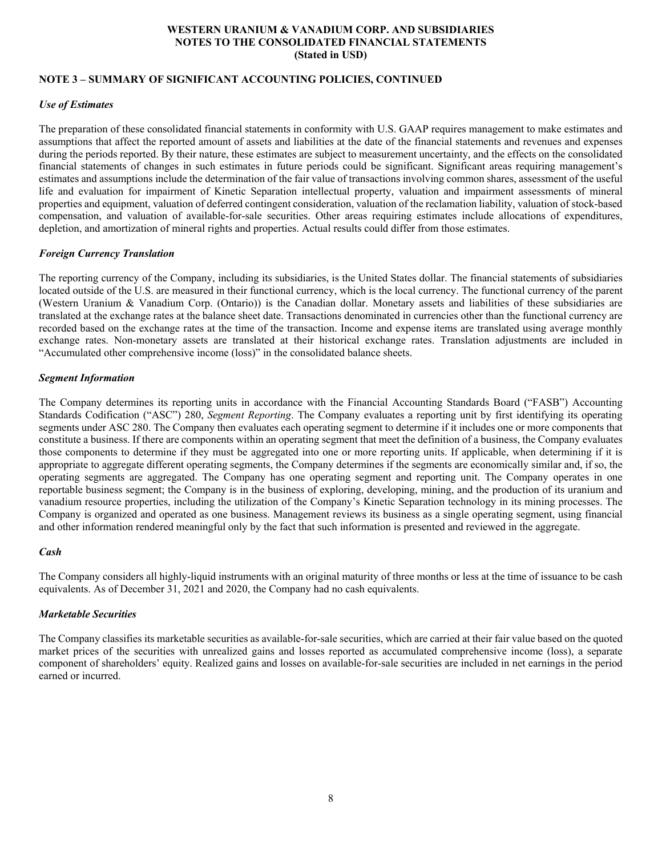## **NOTE 3 – SUMMARY OF SIGNIFICANT ACCOUNTING POLICIES, CONTINUED**

#### *Use of Estimates*

The preparation of these consolidated financial statements in conformity with U.S. GAAP requires management to make estimates and assumptions that affect the reported amount of assets and liabilities at the date of the financial statements and revenues and expenses during the periods reported. By their nature, these estimates are subject to measurement uncertainty, and the effects on the consolidated financial statements of changes in such estimates in future periods could be significant. Significant areas requiring management's estimates and assumptions include the determination of the fair value of transactions involving common shares, assessment of the useful life and evaluation for impairment of Kinetic Separation intellectual property, valuation and impairment assessments of mineral properties and equipment, valuation of deferred contingent consideration, valuation of the reclamation liability, valuation of stock-based compensation, and valuation of available-for-sale securities. Other areas requiring estimates include allocations of expenditures, depletion, and amortization of mineral rights and properties. Actual results could differ from those estimates.

#### *Foreign Currency Translation*

The reporting currency of the Company, including its subsidiaries, is the United States dollar. The financial statements of subsidiaries located outside of the U.S. are measured in their functional currency, which is the local currency. The functional currency of the parent (Western Uranium & Vanadium Corp. (Ontario)) is the Canadian dollar. Monetary assets and liabilities of these subsidiaries are translated at the exchange rates at the balance sheet date. Transactions denominated in currencies other than the functional currency are recorded based on the exchange rates at the time of the transaction. Income and expense items are translated using average monthly exchange rates. Non-monetary assets are translated at their historical exchange rates. Translation adjustments are included in "Accumulated other comprehensive income (loss)" in the consolidated balance sheets.

#### *Segment Information*

The Company determines its reporting units in accordance with the Financial Accounting Standards Board ("FASB") Accounting Standards Codification ("ASC") 280, *Segment Reporting*. The Company evaluates a reporting unit by first identifying its operating segments under ASC 280. The Company then evaluates each operating segment to determine if it includes one or more components that constitute a business. If there are components within an operating segment that meet the definition of a business, the Company evaluates those components to determine if they must be aggregated into one or more reporting units. If applicable, when determining if it is appropriate to aggregate different operating segments, the Company determines if the segments are economically similar and, if so, the operating segments are aggregated. The Company has one operating segment and reporting unit. The Company operates in one reportable business segment; the Company is in the business of exploring, developing, mining, and the production of its uranium and vanadium resource properties, including the utilization of the Company's Kinetic Separation technology in its mining processes. The Company is organized and operated as one business. Management reviews its business as a single operating segment, using financial and other information rendered meaningful only by the fact that such information is presented and reviewed in the aggregate.

## *Cash*

The Company considers all highly-liquid instruments with an original maturity of three months or less at the time of issuance to be cash equivalents. As of December 31, 2021 and 2020, the Company had no cash equivalents.

## *Marketable Securities*

The Company classifies its marketable securities as available-for-sale securities, which are carried at their fair value based on the quoted market prices of the securities with unrealized gains and losses reported as accumulated comprehensive income (loss), a separate component of shareholders' equity. Realized gains and losses on available-for-sale securities are included in net earnings in the period earned or incurred.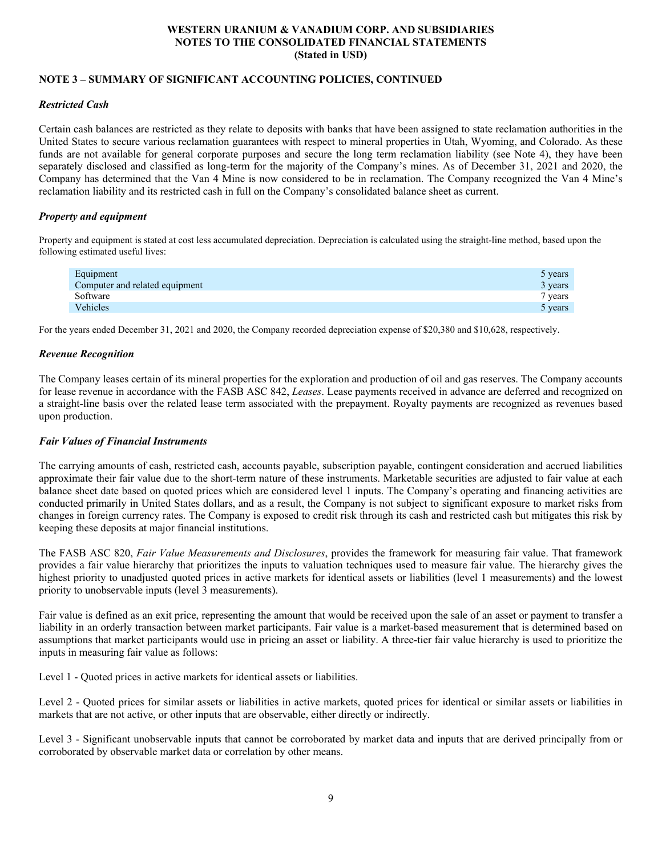## **NOTE 3 – SUMMARY OF SIGNIFICANT ACCOUNTING POLICIES, CONTINUED**

#### *Restricted Cash*

Certain cash balances are restricted as they relate to deposits with banks that have been assigned to state reclamation authorities in the United States to secure various reclamation guarantees with respect to mineral properties in Utah, Wyoming, and Colorado. As these funds are not available for general corporate purposes and secure the long term reclamation liability (see Note 4), they have been separately disclosed and classified as long-term for the majority of the Company's mines. As of December 31, 2021 and 2020, the Company has determined that the Van 4 Mine is now considered to be in reclamation. The Company recognized the Van 4 Mine's reclamation liability and its restricted cash in full on the Company's consolidated balance sheet as current.

#### *Property and equipment*

Property and equipment is stated at cost less accumulated depreciation. Depreciation is calculated using the straight-line method, based upon the following estimated useful lives:

| Equipment<br>Computer and related equipment | 5 years<br>3 years |
|---------------------------------------------|--------------------|
| Software                                    | 7 years            |
| Vehicles                                    | 5 years            |

For the years ended December 31, 2021 and 2020, the Company recorded depreciation expense of \$20,380 and \$10,628, respectively.

#### *Revenue Recognition*

The Company leases certain of its mineral properties for the exploration and production of oil and gas reserves. The Company accounts for lease revenue in accordance with the FASB ASC 842, *Leases*. Lease payments received in advance are deferred and recognized on a straight-line basis over the related lease term associated with the prepayment. Royalty payments are recognized as revenues based upon production.

## *Fair Values of Financial Instruments*

The carrying amounts of cash, restricted cash, accounts payable, subscription payable, contingent consideration and accrued liabilities approximate their fair value due to the short-term nature of these instruments. Marketable securities are adjusted to fair value at each balance sheet date based on quoted prices which are considered level 1 inputs. The Company's operating and financing activities are conducted primarily in United States dollars, and as a result, the Company is not subject to significant exposure to market risks from changes in foreign currency rates. The Company is exposed to credit risk through its cash and restricted cash but mitigates this risk by keeping these deposits at major financial institutions.

The FASB ASC 820, *Fair Value Measurements and Disclosures*, provides the framework for measuring fair value. That framework provides a fair value hierarchy that prioritizes the inputs to valuation techniques used to measure fair value. The hierarchy gives the highest priority to unadjusted quoted prices in active markets for identical assets or liabilities (level 1 measurements) and the lowest priority to unobservable inputs (level 3 measurements).

Fair value is defined as an exit price, representing the amount that would be received upon the sale of an asset or payment to transfer a liability in an orderly transaction between market participants. Fair value is a market-based measurement that is determined based on assumptions that market participants would use in pricing an asset or liability. A three-tier fair value hierarchy is used to prioritize the inputs in measuring fair value as follows:

Level 1 - Quoted prices in active markets for identical assets or liabilities.

Level 2 - Quoted prices for similar assets or liabilities in active markets, quoted prices for identical or similar assets or liabilities in markets that are not active, or other inputs that are observable, either directly or indirectly.

Level 3 - Significant unobservable inputs that cannot be corroborated by market data and inputs that are derived principally from or corroborated by observable market data or correlation by other means.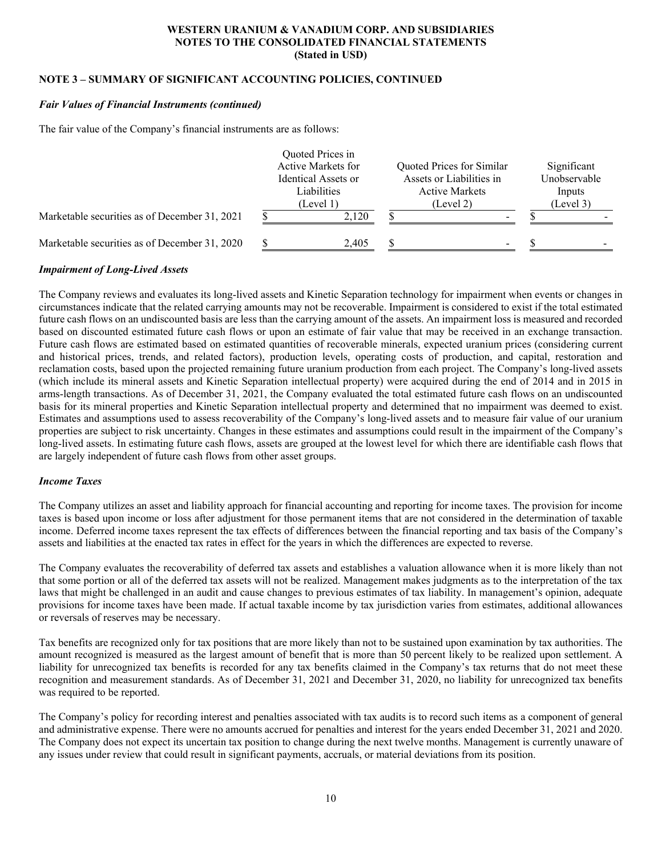## **NOTE 3 – SUMMARY OF SIGNIFICANT ACCOUNTING POLICIES, CONTINUED**

#### *Fair Values of Financial Instruments (continued)*

The fair value of the Company's financial instruments are as follows:

|                                               | Quoted Prices in<br>Active Markets for          | Quoted Prices for Similar                                      |   | Significant                         |
|-----------------------------------------------|-------------------------------------------------|----------------------------------------------------------------|---|-------------------------------------|
|                                               | Identical Assets or<br>Liabilities<br>(Level 1) | Assets or Liabilities in<br><b>Active Markets</b><br>(Level 2) |   | Unobservable<br>Inputs<br>(Level 3) |
| Marketable securities as of December 31, 2021 | 2,120                                           |                                                                | - |                                     |
| Marketable securities as of December 31, 2020 | 2.405                                           |                                                                |   |                                     |

#### *Impairment of Long-Lived Assets*

The Company reviews and evaluates its long-lived assets and Kinetic Separation technology for impairment when events or changes in circumstances indicate that the related carrying amounts may not be recoverable. Impairment is considered to exist if the total estimated future cash flows on an undiscounted basis are less than the carrying amount of the assets. An impairment loss is measured and recorded based on discounted estimated future cash flows or upon an estimate of fair value that may be received in an exchange transaction. Future cash flows are estimated based on estimated quantities of recoverable minerals, expected uranium prices (considering current and historical prices, trends, and related factors), production levels, operating costs of production, and capital, restoration and reclamation costs, based upon the projected remaining future uranium production from each project. The Company's long-lived assets (which include its mineral assets and Kinetic Separation intellectual property) were acquired during the end of 2014 and in 2015 in arms-length transactions. As of December 31, 2021, the Company evaluated the total estimated future cash flows on an undiscounted basis for its mineral properties and Kinetic Separation intellectual property and determined that no impairment was deemed to exist. Estimates and assumptions used to assess recoverability of the Company's long-lived assets and to measure fair value of our uranium properties are subject to risk uncertainty. Changes in these estimates and assumptions could result in the impairment of the Company's long-lived assets. In estimating future cash flows, assets are grouped at the lowest level for which there are identifiable cash flows that are largely independent of future cash flows from other asset groups.

## *Income Taxes*

The Company utilizes an asset and liability approach for financial accounting and reporting for income taxes. The provision for income taxes is based upon income or loss after adjustment for those permanent items that are not considered in the determination of taxable income. Deferred income taxes represent the tax effects of differences between the financial reporting and tax basis of the Company's assets and liabilities at the enacted tax rates in effect for the years in which the differences are expected to reverse.

The Company evaluates the recoverability of deferred tax assets and establishes a valuation allowance when it is more likely than not that some portion or all of the deferred tax assets will not be realized. Management makes judgments as to the interpretation of the tax laws that might be challenged in an audit and cause changes to previous estimates of tax liability. In management's opinion, adequate provisions for income taxes have been made. If actual taxable income by tax jurisdiction varies from estimates, additional allowances or reversals of reserves may be necessary.

Tax benefits are recognized only for tax positions that are more likely than not to be sustained upon examination by tax authorities. The amount recognized is measured as the largest amount of benefit that is more than 50 percent likely to be realized upon settlement. A liability for unrecognized tax benefits is recorded for any tax benefits claimed in the Company's tax returns that do not meet these recognition and measurement standards. As of December 31, 2021 and December 31, 2020, no liability for unrecognized tax benefits was required to be reported.

The Company's policy for recording interest and penalties associated with tax audits is to record such items as a component of general and administrative expense. There were no amounts accrued for penalties and interest for the years ended December 31, 2021 and 2020. The Company does not expect its uncertain tax position to change during the next twelve months. Management is currently unaware of any issues under review that could result in significant payments, accruals, or material deviations from its position.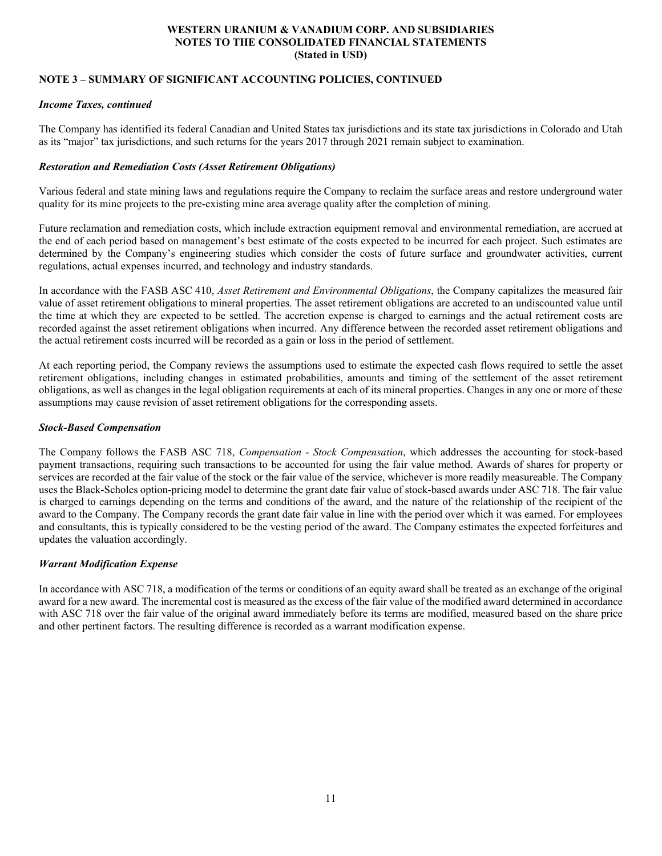## **NOTE 3 – SUMMARY OF SIGNIFICANT ACCOUNTING POLICIES, CONTINUED**

#### *Income Taxes, continued*

The Company has identified its federal Canadian and United States tax jurisdictions and its state tax jurisdictions in Colorado and Utah as its "major" tax jurisdictions, and such returns for the years 2017 through 2021 remain subject to examination.

#### *Restoration and Remediation Costs (Asset Retirement Obligations)*

Various federal and state mining laws and regulations require the Company to reclaim the surface areas and restore underground water quality for its mine projects to the pre-existing mine area average quality after the completion of mining.

Future reclamation and remediation costs, which include extraction equipment removal and environmental remediation, are accrued at the end of each period based on management's best estimate of the costs expected to be incurred for each project. Such estimates are determined by the Company's engineering studies which consider the costs of future surface and groundwater activities, current regulations, actual expenses incurred, and technology and industry standards.

In accordance with the FASB ASC 410, *Asset Retirement and Environmental Obligations*, the Company capitalizes the measured fair value of asset retirement obligations to mineral properties. The asset retirement obligations are accreted to an undiscounted value until the time at which they are expected to be settled. The accretion expense is charged to earnings and the actual retirement costs are recorded against the asset retirement obligations when incurred. Any difference between the recorded asset retirement obligations and the actual retirement costs incurred will be recorded as a gain or loss in the period of settlement.

At each reporting period, the Company reviews the assumptions used to estimate the expected cash flows required to settle the asset retirement obligations, including changes in estimated probabilities, amounts and timing of the settlement of the asset retirement obligations, as well as changes in the legal obligation requirements at each of its mineral properties. Changes in any one or more of these assumptions may cause revision of asset retirement obligations for the corresponding assets.

#### *Stock-Based Compensation*

The Company follows the FASB ASC 718, *Compensation - Stock Compensation*, which addresses the accounting for stock-based payment transactions, requiring such transactions to be accounted for using the fair value method. Awards of shares for property or services are recorded at the fair value of the stock or the fair value of the service, whichever is more readily measureable. The Company uses the Black-Scholes option-pricing model to determine the grant date fair value of stock-based awards under ASC 718. The fair value is charged to earnings depending on the terms and conditions of the award, and the nature of the relationship of the recipient of the award to the Company. The Company records the grant date fair value in line with the period over which it was earned. For employees and consultants, this is typically considered to be the vesting period of the award. The Company estimates the expected forfeitures and updates the valuation accordingly.

## *Warrant Modification Expense*

In accordance with ASC 718, a modification of the terms or conditions of an equity award shall be treated as an exchange of the original award for a new award. The incremental cost is measured as the excess of the fair value of the modified award determined in accordance with ASC 718 over the fair value of the original award immediately before its terms are modified, measured based on the share price and other pertinent factors. The resulting difference is recorded as a warrant modification expense.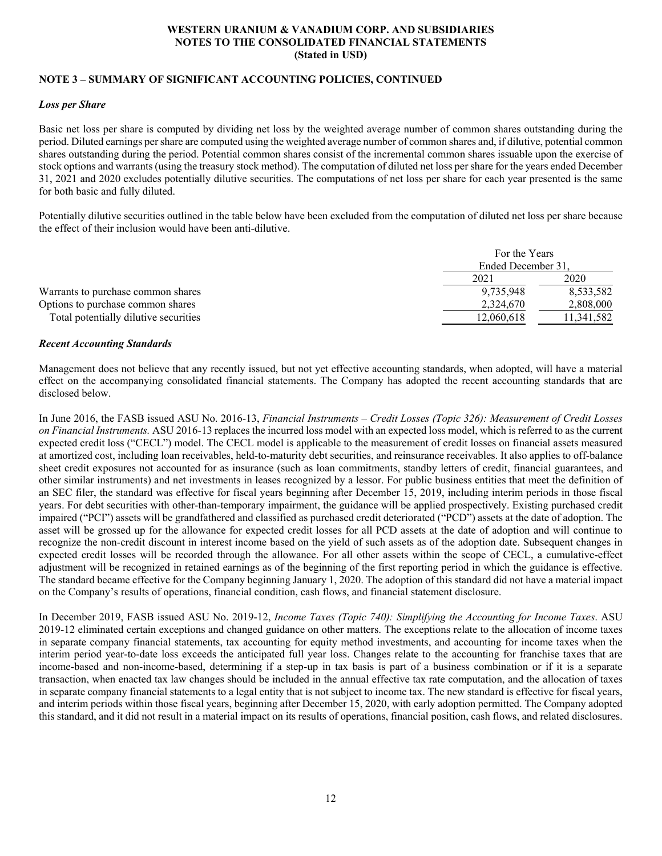## **NOTE 3 – SUMMARY OF SIGNIFICANT ACCOUNTING POLICIES, CONTINUED**

#### *Loss per Share*

Basic net loss per share is computed by dividing net loss by the weighted average number of common shares outstanding during the period. Diluted earnings per share are computed using the weighted average number of common shares and, if dilutive, potential common shares outstanding during the period. Potential common shares consist of the incremental common shares issuable upon the exercise of stock options and warrants (using the treasury stock method). The computation of diluted net loss per share for the years ended December 31, 2021 and 2020 excludes potentially dilutive securities. The computations of net loss per share for each year presented is the same for both basic and fully diluted.

Potentially dilutive securities outlined in the table below have been excluded from the computation of diluted net loss per share because the effect of their inclusion would have been anti-dilutive.

|                                       | For the Years      |            |  |  |
|---------------------------------------|--------------------|------------|--|--|
|                                       | Ended December 31. |            |  |  |
|                                       | 2021               | 2020       |  |  |
| Warrants to purchase common shares    | 9,735,948          | 8,533,582  |  |  |
| Options to purchase common shares     | 2,324,670          | 2,808,000  |  |  |
| Total potentially dilutive securities | 12,060,618         | 11,341,582 |  |  |

#### *Recent Accounting Standards*

Management does not believe that any recently issued, but not yet effective accounting standards, when adopted, will have a material effect on the accompanying consolidated financial statements. The Company has adopted the recent accounting standards that are disclosed below.

In June 2016, the FASB issued ASU No. 2016-13, *Financial Instruments – Credit Losses (Topic 326): Measurement of Credit Losses on Financial Instruments.* ASU 2016-13 replaces the incurred loss model with an expected loss model, which is referred to as the current expected credit loss ("CECL") model. The CECL model is applicable to the measurement of credit losses on financial assets measured at amortized cost, including loan receivables, held-to-maturity debt securities, and reinsurance receivables. It also applies to off-balance sheet credit exposures not accounted for as insurance (such as loan commitments, standby letters of credit, financial guarantees, and other similar instruments) and net investments in leases recognized by a lessor. For public business entities that meet the definition of an SEC filer, the standard was effective for fiscal years beginning after December 15, 2019, including interim periods in those fiscal years. For debt securities with other-than-temporary impairment, the guidance will be applied prospectively. Existing purchased credit impaired ("PCI") assets will be grandfathered and classified as purchased credit deteriorated ("PCD") assets at the date of adoption. The asset will be grossed up for the allowance for expected credit losses for all PCD assets at the date of adoption and will continue to recognize the non-credit discount in interest income based on the yield of such assets as of the adoption date. Subsequent changes in expected credit losses will be recorded through the allowance. For all other assets within the scope of CECL, a cumulative-effect adjustment will be recognized in retained earnings as of the beginning of the first reporting period in which the guidance is effective. The standard became effective for the Company beginning January 1, 2020. The adoption of this standard did not have a material impact on the Company's results of operations, financial condition, cash flows, and financial statement disclosure.

In December 2019, FASB issued ASU No. 2019-12, *Income Taxes (Topic 740): Simplifying the Accounting for Income Taxes*. ASU 2019-12 eliminated certain exceptions and changed guidance on other matters. The exceptions relate to the allocation of income taxes in separate company financial statements, tax accounting for equity method investments, and accounting for income taxes when the interim period year-to-date loss exceeds the anticipated full year loss. Changes relate to the accounting for franchise taxes that are income-based and non-income-based, determining if a step-up in tax basis is part of a business combination or if it is a separate transaction, when enacted tax law changes should be included in the annual effective tax rate computation, and the allocation of taxes in separate company financial statements to a legal entity that is not subject to income tax. The new standard is effective for fiscal years, and interim periods within those fiscal years, beginning after December 15, 2020, with early adoption permitted. The Company adopted this standard, and it did not result in a material impact on its results of operations, financial position, cash flows, and related disclosures.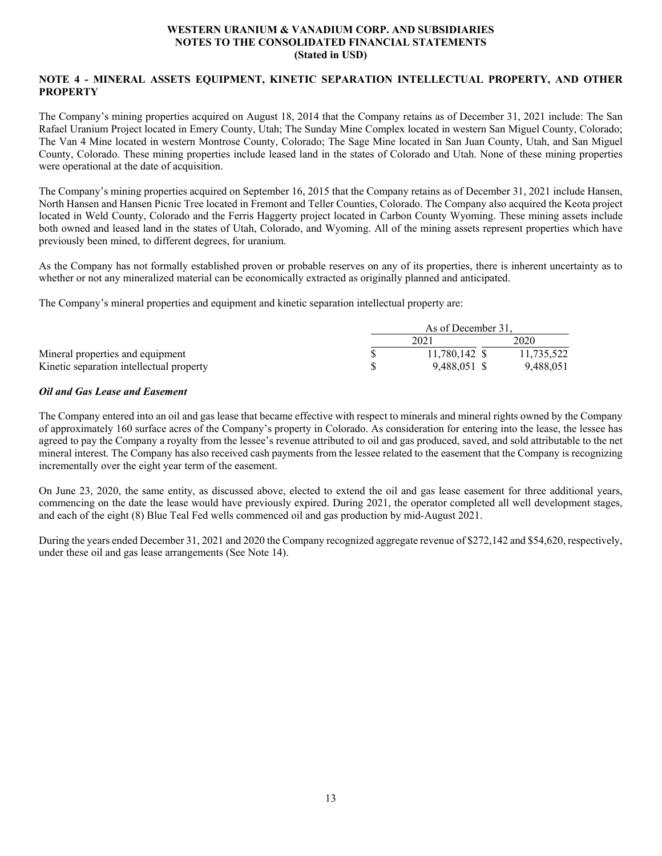## **NOTE 4 - MINERAL ASSETS EQUIPMENT, KINETIC SEPARATION INTELLECTUAL PROPERTY, AND OTHER PROPERTY**

The Company's mining properties acquired on August 18, 2014 that the Company retains as of December 31, 2021 include: The San Rafael Uranium Project located in Emery County, Utah; The Sunday Mine Complex located in western San Miguel County, Colorado; The Van 4 Mine located in western Montrose County, Colorado; The Sage Mine located in San Juan County, Utah, and San Miguel County, Colorado. These mining properties include leased land in the states of Colorado and Utah. None of these mining properties were operational at the date of acquisition.

The Company's mining properties acquired on September 16, 2015 that the Company retains as of December 31, 2021 include Hansen, North Hansen and Hansen Picnic Tree located in Fremont and Teller Counties, Colorado. The Company also acquired the Keota project located in Weld County, Colorado and the Ferris Haggerty project located in Carbon County Wyoming. These mining assets include both owned and leased land in the states of Utah, Colorado, and Wyoming. All of the mining assets represent properties which have previously been mined, to different degrees, for uranium.

As the Company has not formally established proven or probable reserves on any of its properties, there is inherent uncertainty as to whether or not any mineralized material can be economically extracted as originally planned and anticipated.

The Company's mineral properties and equipment and kinetic separation intellectual property are:

|                                          | As of December 31, |            |
|------------------------------------------|--------------------|------------|
|                                          | 2021               | 2020       |
| Mineral properties and equipment         | 11.780.142 \$      | 11.735.522 |
| Kinetic separation intellectual property | 9.488.051 \$       | 9.488,051  |

## *Oil and Gas Lease and Easement*

The Company entered into an oil and gas lease that became effective with respect to minerals and mineral rights owned by the Company of approximately 160 surface acres of the Company's property in Colorado. As consideration for entering into the lease, the lessee has agreed to pay the Company a royalty from the lessee's revenue attributed to oil and gas produced, saved, and sold attributable to the net mineral interest. The Company has also received cash payments from the lessee related to the easement that the Company is recognizing incrementally over the eight year term of the easement.

On June 23, 2020, the same entity, as discussed above, elected to extend the oil and gas lease easement for three additional years, commencing on the date the lease would have previously expired. During 2021, the operator completed all well development stages, and each of the eight (8) Blue Teal Fed wells commenced oil and gas production by mid-August 2021.

During the years ended December 31, 2021 and 2020 the Company recognized aggregate revenue of \$272,142 and \$54,620, respectively, under these oil and gas lease arrangements (See Note 14).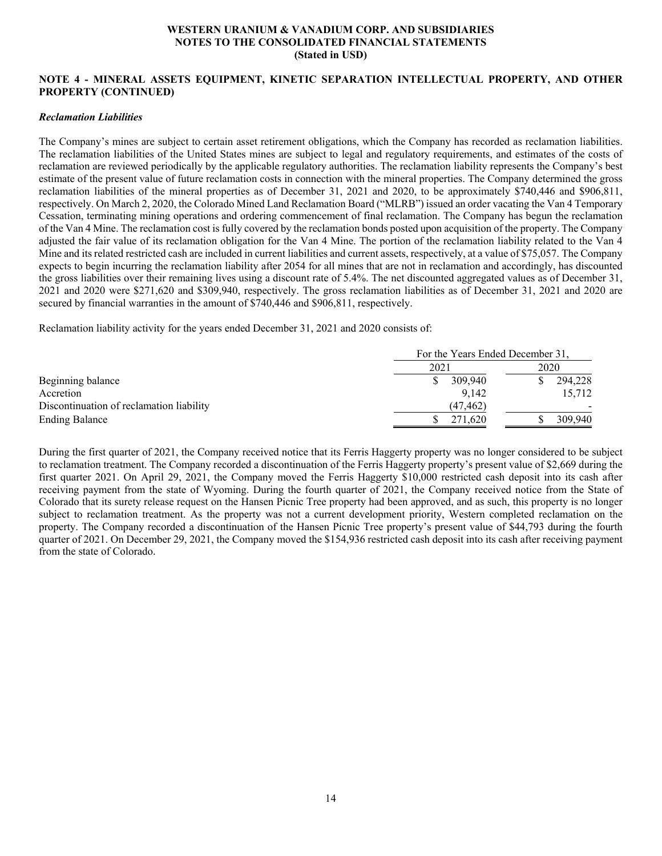## **NOTE 4 - MINERAL ASSETS EQUIPMENT, KINETIC SEPARATION INTELLECTUAL PROPERTY, AND OTHER PROPERTY (CONTINUED)**

#### *Reclamation Liabilities*

The Company's mines are subject to certain asset retirement obligations, which the Company has recorded as reclamation liabilities. The reclamation liabilities of the United States mines are subject to legal and regulatory requirements, and estimates of the costs of reclamation are reviewed periodically by the applicable regulatory authorities. The reclamation liability represents the Company's best estimate of the present value of future reclamation costs in connection with the mineral properties. The Company determined the gross reclamation liabilities of the mineral properties as of December 31, 2021 and 2020, to be approximately \$740,446 and \$906,811, respectively. On March 2, 2020, the Colorado Mined Land Reclamation Board ("MLRB") issued an order vacating the Van 4 Temporary Cessation, terminating mining operations and ordering commencement of final reclamation. The Company has begun the reclamation of the Van 4 Mine. The reclamation cost is fully covered by the reclamation bonds posted upon acquisition of the property. The Company adjusted the fair value of its reclamation obligation for the Van 4 Mine. The portion of the reclamation liability related to the Van 4 Mine and its related restricted cash are included in current liabilities and current assets, respectively, at a value of \$75,057. The Company expects to begin incurring the reclamation liability after 2054 for all mines that are not in reclamation and accordingly, has discounted the gross liabilities over their remaining lives using a discount rate of 5.4%. The net discounted aggregated values as of December 31, 2021 and 2020 were \$271,620 and \$309,940, respectively. The gross reclamation liabilities as of December 31, 2021 and 2020 are secured by financial warranties in the amount of \$740,446 and \$906,811, respectively.

Reclamation liability activity for the years ended December 31, 2021 and 2020 consists of:

|                                          | For the Years Ended December 31, |         |  |  |  |  |  |
|------------------------------------------|----------------------------------|---------|--|--|--|--|--|
|                                          | 2021                             | 2020    |  |  |  |  |  |
| Beginning balance                        | 309,940                          | 294,228 |  |  |  |  |  |
| Accretion                                | 9.142                            | 15,712  |  |  |  |  |  |
| Discontinuation of reclamation liability | (47, 462)                        |         |  |  |  |  |  |
| <b>Ending Balance</b>                    | 271,620                          | 309.940 |  |  |  |  |  |

During the first quarter of 2021, the Company received notice that its Ferris Haggerty property was no longer considered to be subject to reclamation treatment. The Company recorded a discontinuation of the Ferris Haggerty property's present value of \$2,669 during the first quarter 2021. On April 29, 2021, the Company moved the Ferris Haggerty \$10,000 restricted cash deposit into its cash after receiving payment from the state of Wyoming. During the fourth quarter of 2021, the Company received notice from the State of Colorado that its surety release request on the Hansen Picnic Tree property had been approved, and as such, this property is no longer subject to reclamation treatment. As the property was not a current development priority, Western completed reclamation on the property. The Company recorded a discontinuation of the Hansen Picnic Tree property's present value of \$44,793 during the fourth quarter of 2021. On December 29, 2021, the Company moved the \$154,936 restricted cash deposit into its cash after receiving payment from the state of Colorado.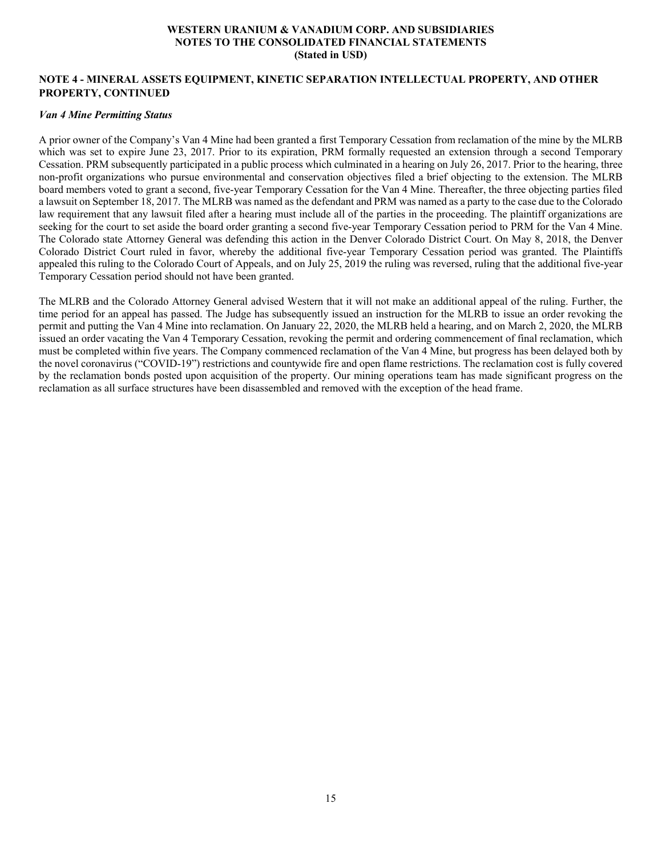## **NOTE 4 - MINERAL ASSETS EQUIPMENT, KINETIC SEPARATION INTELLECTUAL PROPERTY, AND OTHER PROPERTY, CONTINUED**

#### *Van 4 Mine Permitting Status*

A prior owner of the Company's Van 4 Mine had been granted a first Temporary Cessation from reclamation of the mine by the MLRB which was set to expire June 23, 2017. Prior to its expiration, PRM formally requested an extension through a second Temporary Cessation. PRM subsequently participated in a public process which culminated in a hearing on July 26, 2017. Prior to the hearing, three non-profit organizations who pursue environmental and conservation objectives filed a brief objecting to the extension. The MLRB board members voted to grant a second, five-year Temporary Cessation for the Van 4 Mine. Thereafter, the three objecting parties filed a lawsuit on September 18, 2017. The MLRB was named as the defendant and PRM was named as a party to the case due to the Colorado law requirement that any lawsuit filed after a hearing must include all of the parties in the proceeding. The plaintiff organizations are seeking for the court to set aside the board order granting a second five-year Temporary Cessation period to PRM for the Van 4 Mine. The Colorado state Attorney General was defending this action in the Denver Colorado District Court. On May 8, 2018, the Denver Colorado District Court ruled in favor, whereby the additional five-year Temporary Cessation period was granted. The Plaintiffs appealed this ruling to the Colorado Court of Appeals, and on July 25, 2019 the ruling was reversed, ruling that the additional five-year Temporary Cessation period should not have been granted.

The MLRB and the Colorado Attorney General advised Western that it will not make an additional appeal of the ruling. Further, the time period for an appeal has passed. The Judge has subsequently issued an instruction for the MLRB to issue an order revoking the permit and putting the Van 4 Mine into reclamation. On January 22, 2020, the MLRB held a hearing, and on March 2, 2020, the MLRB issued an order vacating the Van 4 Temporary Cessation, revoking the permit and ordering commencement of final reclamation, which must be completed within five years. The Company commenced reclamation of the Van 4 Mine, but progress has been delayed both by the novel coronavirus ("COVID-19") restrictions and countywide fire and open flame restrictions. The reclamation cost is fully covered by the reclamation bonds posted upon acquisition of the property. Our mining operations team has made significant progress on the reclamation as all surface structures have been disassembled and removed with the exception of the head frame.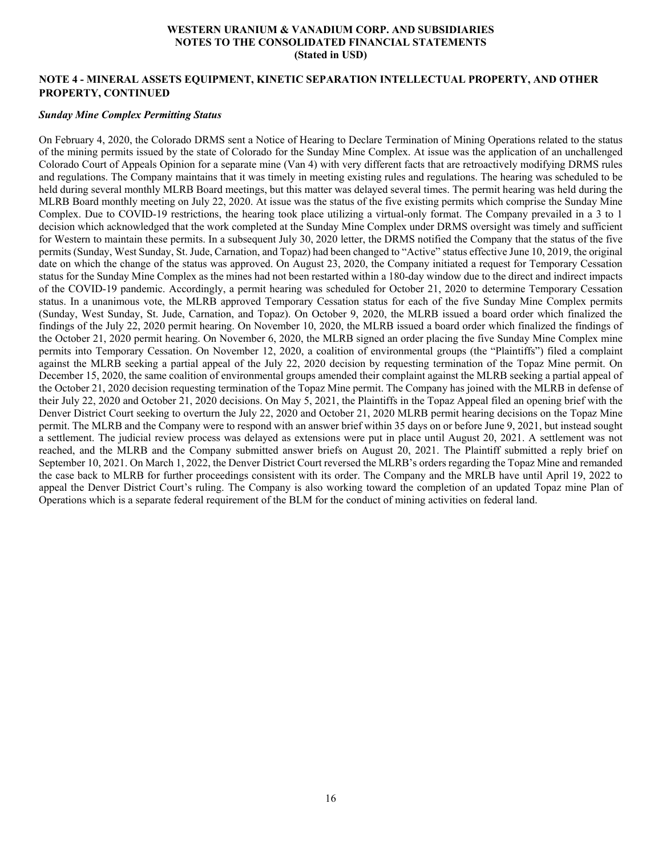## **NOTE 4 - MINERAL ASSETS EQUIPMENT, KINETIC SEPARATION INTELLECTUAL PROPERTY, AND OTHER PROPERTY, CONTINUED**

#### *Sunday Mine Complex Permitting Status*

On February 4, 2020, the Colorado DRMS sent a Notice of Hearing to Declare Termination of Mining Operations related to the status of the mining permits issued by the state of Colorado for the Sunday Mine Complex. At issue was the application of an unchallenged Colorado Court of Appeals Opinion for a separate mine (Van 4) with very different facts that are retroactively modifying DRMS rules and regulations. The Company maintains that it was timely in meeting existing rules and regulations. The hearing was scheduled to be held during several monthly MLRB Board meetings, but this matter was delayed several times. The permit hearing was held during the MLRB Board monthly meeting on July 22, 2020. At issue was the status of the five existing permits which comprise the Sunday Mine Complex. Due to COVID-19 restrictions, the hearing took place utilizing a virtual-only format. The Company prevailed in a 3 to 1 decision which acknowledged that the work completed at the Sunday Mine Complex under DRMS oversight was timely and sufficient for Western to maintain these permits. In a subsequent July 30, 2020 letter, the DRMS notified the Company that the status of the five permits (Sunday, West Sunday, St. Jude, Carnation, and Topaz) had been changed to "Active" status effective June 10, 2019, the original date on which the change of the status was approved. On August 23, 2020, the Company initiated a request for Temporary Cessation status for the Sunday Mine Complex as the mines had not been restarted within a 180-day window due to the direct and indirect impacts of the COVID-19 pandemic. Accordingly, a permit hearing was scheduled for October 21, 2020 to determine Temporary Cessation status. In a unanimous vote, the MLRB approved Temporary Cessation status for each of the five Sunday Mine Complex permits (Sunday, West Sunday, St. Jude, Carnation, and Topaz). On October 9, 2020, the MLRB issued a board order which finalized the findings of the July 22, 2020 permit hearing. On November 10, 2020, the MLRB issued a board order which finalized the findings of the October 21, 2020 permit hearing. On November 6, 2020, the MLRB signed an order placing the five Sunday Mine Complex mine permits into Temporary Cessation. On November 12, 2020, a coalition of environmental groups (the "Plaintiffs") filed a complaint against the MLRB seeking a partial appeal of the July 22, 2020 decision by requesting termination of the Topaz Mine permit. On December 15, 2020, the same coalition of environmental groups amended their complaint against the MLRB seeking a partial appeal of the October 21, 2020 decision requesting termination of the Topaz Mine permit. The Company has joined with the MLRB in defense of their July 22, 2020 and October 21, 2020 decisions. On May 5, 2021, the Plaintiffs in the Topaz Appeal filed an opening brief with the Denver District Court seeking to overturn the July 22, 2020 and October 21, 2020 MLRB permit hearing decisions on the Topaz Mine permit. The MLRB and the Company were to respond with an answer brief within 35 days on or before June 9, 2021, but instead sought a settlement. The judicial review process was delayed as extensions were put in place until August 20, 2021. A settlement was not reached, and the MLRB and the Company submitted answer briefs on August 20, 2021. The Plaintiff submitted a reply brief on September 10, 2021. On March 1, 2022, the Denver District Court reversed the MLRB's orders regarding the Topaz Mine and remanded the case back to MLRB for further proceedings consistent with its order. The Company and the MRLB have until April 19, 2022 to appeal the Denver District Court's ruling. The Company is also working toward the completion of an updated Topaz mine Plan of Operations which is a separate federal requirement of the BLM for the conduct of mining activities on federal land.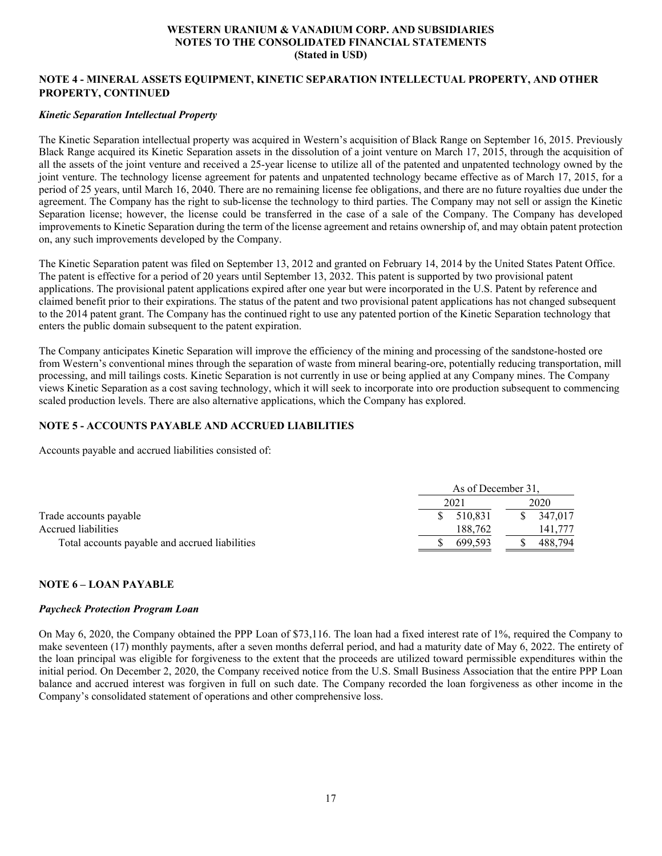## **NOTE 4 - MINERAL ASSETS EQUIPMENT, KINETIC SEPARATION INTELLECTUAL PROPERTY, AND OTHER PROPERTY, CONTINUED**

#### *Kinetic Separation Intellectual Property*

The Kinetic Separation intellectual property was acquired in Western's acquisition of Black Range on September 16, 2015. Previously Black Range acquired its Kinetic Separation assets in the dissolution of a joint venture on March 17, 2015, through the acquisition of all the assets of the joint venture and received a 25-year license to utilize all of the patented and unpatented technology owned by the joint venture. The technology license agreement for patents and unpatented technology became effective as of March 17, 2015, for a period of 25 years, until March 16, 2040. There are no remaining license fee obligations, and there are no future royalties due under the agreement. The Company has the right to sub-license the technology to third parties. The Company may not sell or assign the Kinetic Separation license; however, the license could be transferred in the case of a sale of the Company. The Company has developed improvements to Kinetic Separation during the term of the license agreement and retains ownership of, and may obtain patent protection on, any such improvements developed by the Company.

The Kinetic Separation patent was filed on September 13, 2012 and granted on February 14, 2014 by the United States Patent Office. The patent is effective for a period of 20 years until September 13, 2032. This patent is supported by two provisional patent applications. The provisional patent applications expired after one year but were incorporated in the U.S. Patent by reference and claimed benefit prior to their expirations. The status of the patent and two provisional patent applications has not changed subsequent to the 2014 patent grant. The Company has the continued right to use any patented portion of the Kinetic Separation technology that enters the public domain subsequent to the patent expiration.

The Company anticipates Kinetic Separation will improve the efficiency of the mining and processing of the sandstone-hosted ore from Western's conventional mines through the separation of waste from mineral bearing-ore, potentially reducing transportation, mill processing, and mill tailings costs. Kinetic Separation is not currently in use or being applied at any Company mines. The Company views Kinetic Separation as a cost saving technology, which it will seek to incorporate into ore production subsequent to commencing scaled production levels. There are also alternative applications, which the Company has explored.

## **NOTE 5 - ACCOUNTS PAYABLE AND ACCRUED LIABILITIES**

Accounts payable and accrued liabilities consisted of:

|                                                |      | As of December 31, |
|------------------------------------------------|------|--------------------|
|                                                | 2021 | 2020               |
| Trade accounts payable                         |      | 510.831<br>347,017 |
| Accrued liabilities                            |      | 188,762<br>141.777 |
| Total accounts payable and accrued liabilities |      | 699.593<br>488.794 |

## **NOTE 6 – LOAN PAYABLE**

#### *Paycheck Protection Program Loan*

On May 6, 2020, the Company obtained the PPP Loan of \$73,116. The loan had a fixed interest rate of 1%, required the Company to make seventeen (17) monthly payments, after a seven months deferral period, and had a maturity date of May 6, 2022. The entirety of the loan principal was eligible for forgiveness to the extent that the proceeds are utilized toward permissible expenditures within the initial period. On December 2, 2020, the Company received notice from the U.S. Small Business Association that the entire PPP Loan balance and accrued interest was forgiven in full on such date. The Company recorded the loan forgiveness as other income in the Company's consolidated statement of operations and other comprehensive loss.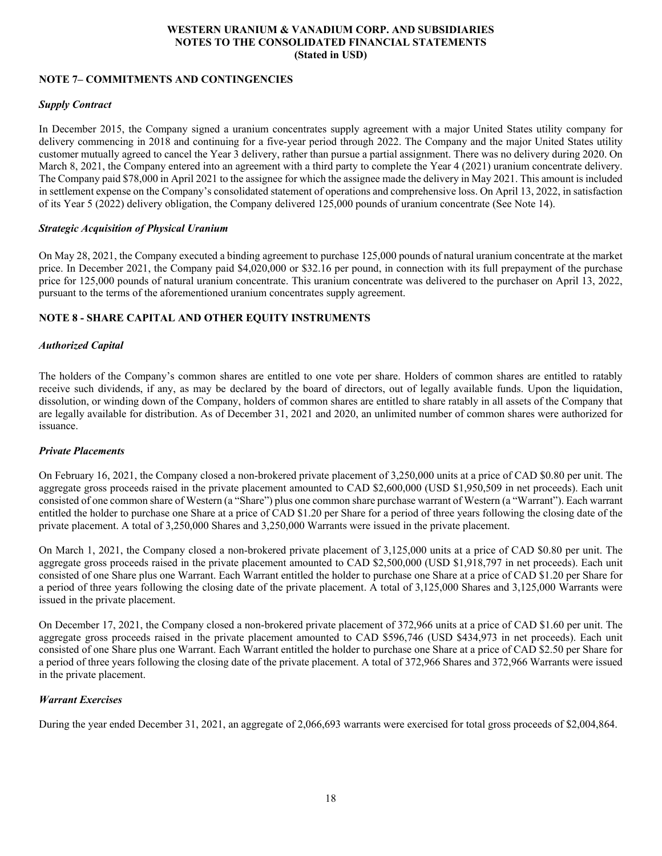## **NOTE 7– COMMITMENTS AND CONTINGENCIES**

## *Supply Contract*

In December 2015, the Company signed a uranium concentrates supply agreement with a major United States utility company for delivery commencing in 2018 and continuing for a five-year period through 2022. The Company and the major United States utility customer mutually agreed to cancel the Year 3 delivery, rather than pursue a partial assignment. There was no delivery during 2020. On March 8, 2021, the Company entered into an agreement with a third party to complete the Year 4 (2021) uranium concentrate delivery. The Company paid \$78,000 in April 2021 to the assignee for which the assignee made the delivery in May 2021. This amount is included in settlement expense on the Company's consolidated statement of operations and comprehensive loss. On April 13, 2022, in satisfaction of its Year 5 (2022) delivery obligation, the Company delivered 125,000 pounds of uranium concentrate (See Note 14).

## *Strategic Acquisition of Physical Uranium*

On May 28, 2021, the Company executed a binding agreement to purchase 125,000 pounds of natural uranium concentrate at the market price. In December 2021, the Company paid \$4,020,000 or \$32.16 per pound, in connection with its full prepayment of the purchase price for 125,000 pounds of natural uranium concentrate. This uranium concentrate was delivered to the purchaser on April 13, 2022, pursuant to the terms of the aforementioned uranium concentrates supply agreement.

## **NOTE 8 - SHARE CAPITAL AND OTHER EQUITY INSTRUMENTS**

## *Authorized Capital*

The holders of the Company's common shares are entitled to one vote per share. Holders of common shares are entitled to ratably receive such dividends, if any, as may be declared by the board of directors, out of legally available funds. Upon the liquidation, dissolution, or winding down of the Company, holders of common shares are entitled to share ratably in all assets of the Company that are legally available for distribution. As of December 31, 2021 and 2020, an unlimited number of common shares were authorized for issuance.

## *Private Placements*

On February 16, 2021, the Company closed a non-brokered private placement of 3,250,000 units at a price of CAD \$0.80 per unit. The aggregate gross proceeds raised in the private placement amounted to CAD \$2,600,000 (USD \$1,950,509 in net proceeds). Each unit consisted of one common share of Western (a "Share") plus one common share purchase warrant of Western (a "Warrant"). Each warrant entitled the holder to purchase one Share at a price of CAD \$1.20 per Share for a period of three years following the closing date of the private placement. A total of 3,250,000 Shares and 3,250,000 Warrants were issued in the private placement.

On March 1, 2021, the Company closed a non-brokered private placement of 3,125,000 units at a price of CAD \$0.80 per unit. The aggregate gross proceeds raised in the private placement amounted to CAD \$2,500,000 (USD \$1,918,797 in net proceeds). Each unit consisted of one Share plus one Warrant. Each Warrant entitled the holder to purchase one Share at a price of CAD \$1.20 per Share for a period of three years following the closing date of the private placement. A total of 3,125,000 Shares and 3,125,000 Warrants were issued in the private placement.

On December 17, 2021, the Company closed a non-brokered private placement of 372,966 units at a price of CAD \$1.60 per unit. The aggregate gross proceeds raised in the private placement amounted to CAD \$596,746 (USD \$434,973 in net proceeds). Each unit consisted of one Share plus one Warrant. Each Warrant entitled the holder to purchase one Share at a price of CAD \$2.50 per Share for a period of three years following the closing date of the private placement. A total of 372,966 Shares and 372,966 Warrants were issued in the private placement.

#### *Warrant Exercises*

During the year ended December 31, 2021, an aggregate of 2,066,693 warrants were exercised for total gross proceeds of \$2,004,864.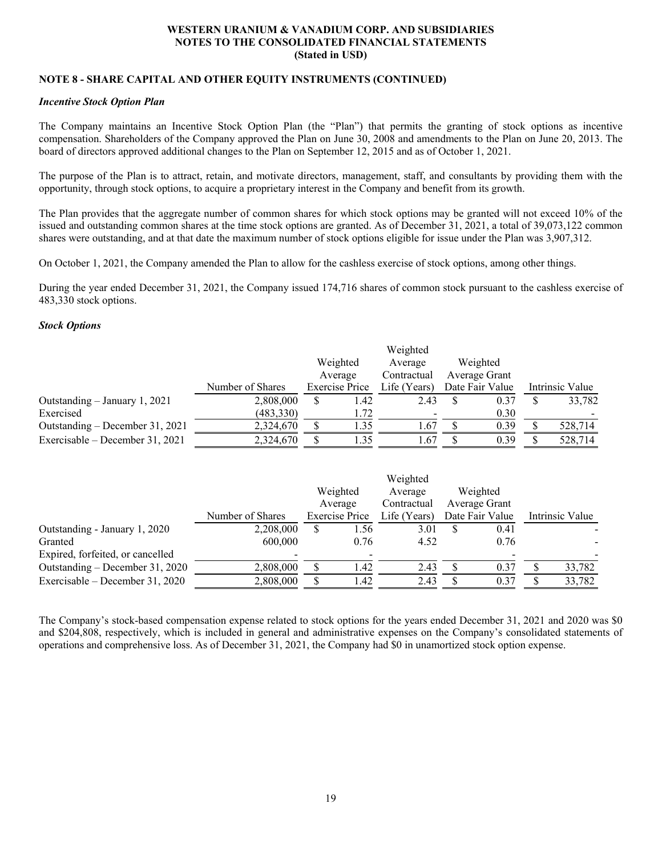## **NOTE 8 - SHARE CAPITAL AND OTHER EQUITY INSTRUMENTS (CONTINUED)**

#### *Incentive Stock Option Plan*

The Company maintains an Incentive Stock Option Plan (the "Plan") that permits the granting of stock options as incentive compensation. Shareholders of the Company approved the Plan on June 30, 2008 and amendments to the Plan on June 20, 2013. The board of directors approved additional changes to the Plan on September 12, 2015 and as of October 1, 2021.

The purpose of the Plan is to attract, retain, and motivate directors, management, staff, and consultants by providing them with the opportunity, through stock options, to acquire a proprietary interest in the Company and benefit from its growth.

The Plan provides that the aggregate number of common shares for which stock options may be granted will not exceed 10% of the issued and outstanding common shares at the time stock options are granted. As of December 31, 2021, a total of 39,073,122 common shares were outstanding, and at that date the maximum number of stock options eligible for issue under the Plan was 3,907,312.

On October 1, 2021, the Company amended the Plan to allow for the cashless exercise of stock options, among other things.

During the year ended December 31, 2021, the Company issued 174,716 shares of common stock pursuant to the cashless exercise of 483,330 stock options.

#### *Stock Options*

|                                 |                  |                       |         | Weighted    |  |               |  |              |                 |  |                 |
|---------------------------------|------------------|-----------------------|---------|-------------|--|---------------|--|--------------|-----------------|--|-----------------|
|                                 |                  | Weighted              |         | Average     |  | Weighted      |  |              |                 |  |                 |
|                                 |                  |                       | Average | Contractual |  | Average Grant |  |              |                 |  |                 |
|                                 | Number of Shares | <b>Exercise Price</b> |         |             |  |               |  | Life (Years) | Date Fair Value |  | Intrinsic Value |
| Outstanding - January 1, 2021   | 2,808,000        |                       | 1.42    | 2.43        |  | 0.37          |  | 33,782       |                 |  |                 |
| Exercised                       | (483, 330)       |                       | 1.72    |             |  | 0.30          |  |              |                 |  |                 |
| Outstanding – December 31, 2021 | 2,324,670        |                       | 1.35    | 1.67        |  | 0.39          |  | 528,714      |                 |  |                 |
| Exercisable – December 31, 2021 | 2,324,670        |                       | 1.35    | . .67       |  | 0.39          |  | 528,714      |                 |  |                 |

|                                  |                  |                       | Weighted     |   |                 |                 |
|----------------------------------|------------------|-----------------------|--------------|---|-----------------|-----------------|
|                                  |                  | Weighted              | Average      |   | Weighted        |                 |
|                                  |                  | Average               | Contractual  |   | Average Grant   |                 |
|                                  | Number of Shares | <b>Exercise Price</b> | Life (Years) |   | Date Fair Value | Intrinsic Value |
| Outstanding - January 1, 2020    | 2,208,000        | 1.56                  | 3.01         | S | 0.41            |                 |
| Granted                          | 600,000          | 0.76                  | 4.52         |   | 0.76            |                 |
| Expired, forfeited, or cancelled |                  |                       |              |   |                 |                 |
| Outstanding – December 31, 2020  | 2,808,000        | 1.42                  | 2.43         |   | 0.37            | 33,782          |
| Exercisable – December 31, 2020  | 2,808,000        | 1.42                  | 2.43         |   | 0.37            | 33,782          |

The Company's stock-based compensation expense related to stock options for the years ended December 31, 2021 and 2020 was \$0 and \$204,808, respectively, which is included in general and administrative expenses on the Company's consolidated statements of operations and comprehensive loss. As of December 31, 2021, the Company had \$0 in unamortized stock option expense.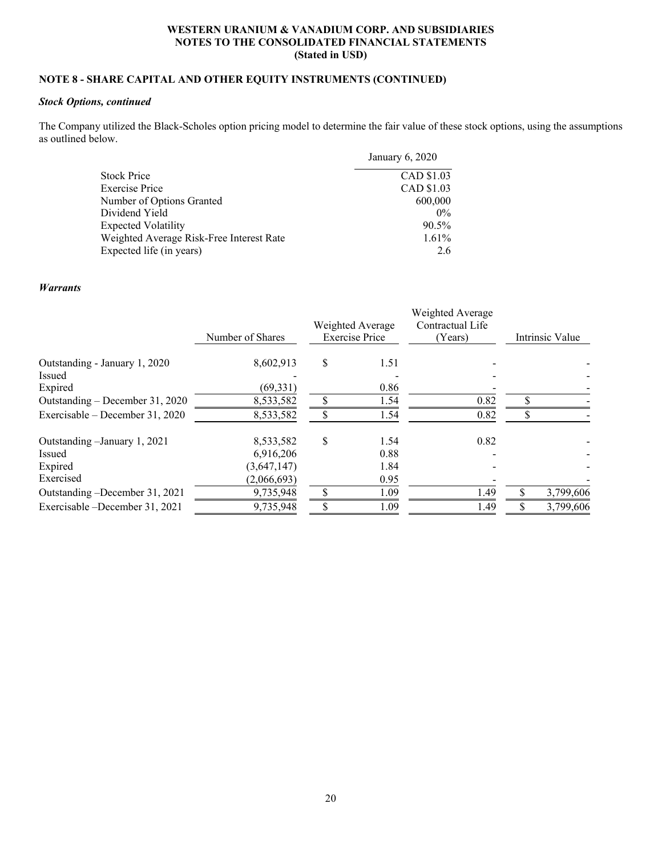# **NOTE 8 - SHARE CAPITAL AND OTHER EQUITY INSTRUMENTS (CONTINUED)**

## *Stock Options, continued*

The Company utilized the Black-Scholes option pricing model to determine the fair value of these stock options, using the assumptions as outlined below.

|                                          | January 6, 2020 |
|------------------------------------------|-----------------|
| <b>Stock Price</b>                       | CAD \$1.03      |
| Exercise Price                           | CAD \$1.03      |
| Number of Options Granted                | 600,000         |
| Dividend Yield                           | $0\%$           |
| Expected Volatility                      | 90.5%           |
| Weighted Average Risk-Free Interest Rate | 1.61%           |
| Expected life (in years)                 | 2.6             |

#### *Warrants*

|                                 | Number of Shares |    | Weighted Average<br><b>Exercise Price</b> | Weighted Average<br>Contractual Life<br>(Years) | Intrinsic Value |
|---------------------------------|------------------|----|-------------------------------------------|-------------------------------------------------|-----------------|
| Outstanding - January 1, 2020   | 8,602,913        | \$ | 1.51                                      |                                                 |                 |
| <b>Issued</b>                   |                  |    |                                           |                                                 |                 |
| Expired                         | (69, 331)        |    | 0.86                                      |                                                 |                 |
| Outstanding – December 31, 2020 | 8,533,582        |    | 1.54                                      | 0.82                                            |                 |
| Exercisable - December 31, 2020 | 8,533,582        |    | 1.54                                      | 0.82                                            |                 |
| Outstanding -January 1, 2021    | 8,533,582        | \$ | 1.54                                      | 0.82                                            |                 |
| Issued                          | 6,916,206        |    | 0.88                                      |                                                 |                 |
| Expired                         | (3,647,147)      |    | 1.84                                      |                                                 |                 |
| Exercised                       | (2,066,693)      |    | 0.95                                      |                                                 |                 |
| Outstanding -December 31, 2021  | 9,735,948        | S  | 1.09                                      | 1.49                                            | 3,799,606       |
| Exercisable -December 31, 2021  | 9,735,948        |    | 1.09                                      | 1.49                                            | 3,799,606       |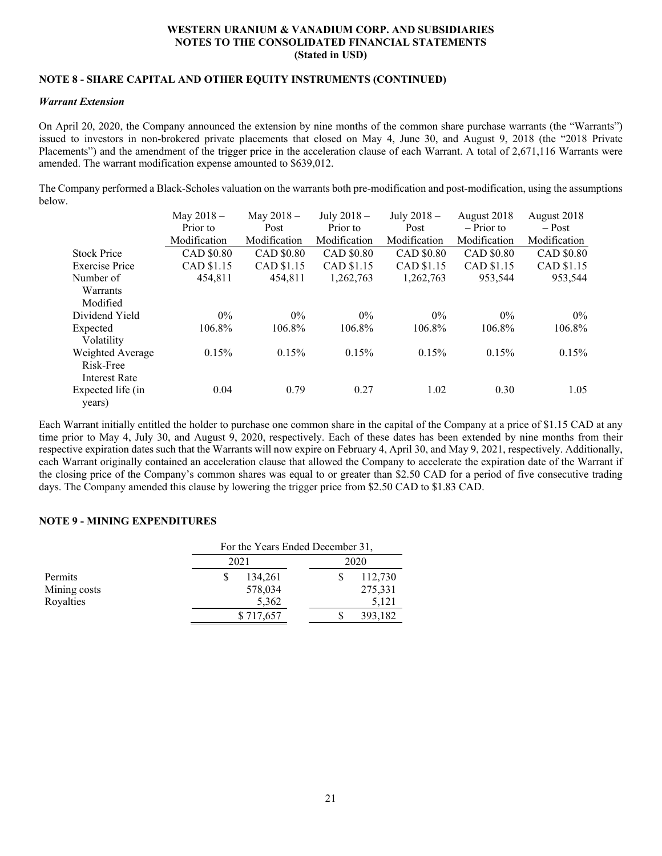#### **NOTE 8 - SHARE CAPITAL AND OTHER EQUITY INSTRUMENTS (CONTINUED)**

#### *Warrant Extension*

On April 20, 2020, the Company announced the extension by nine months of the common share purchase warrants (the "Warrants") issued to investors in non-brokered private placements that closed on May 4, June 30, and August 9, 2018 (the "2018 Private Placements") and the amendment of the trigger price in the acceleration clause of each Warrant. A total of 2,671,116 Warrants were amended. The warrant modification expense amounted to \$639,012.

The Company performed a Black-Scholes valuation on the warrants both pre-modification and post-modification, using the assumptions below.

|                               | May $2018 -$ | May $2018 -$ | July $2018 -$ | July 2018 -  | August 2018  | August 2018  |
|-------------------------------|--------------|--------------|---------------|--------------|--------------|--------------|
|                               | Prior to     | Post         | Prior to      | Post         | $-$ Prior to | $-$ Post     |
|                               | Modification | Modification | Modification  | Modification | Modification | Modification |
| <b>Stock Price</b>            | CAD \$0.80   | CAD \$0.80   | CAD \$0.80    | CAD \$0.80   | CAD \$0.80   | CAD \$0.80   |
| <b>Exercise Price</b>         | CAD \$1.15   | CAD \$1.15   | CAD \$1.15    | CAD \$1.15   | CAD \$1.15   | CAD \$1.15   |
| Number of                     | 454,811      | 454,811      | 1,262,763     | 1,262,763    | 953,544      | 953,544      |
| Warrants                      |              |              |               |              |              |              |
| Modified                      |              |              |               |              |              |              |
| Dividend Yield                | $0\%$        | $0\%$        | $0\%$         | $0\%$        | $0\%$        | $0\%$        |
| Expected<br>Volatility        | 106.8%       | 106.8%       | 106.8%        | 106.8%       | 106.8%       | 106.8%       |
| Weighted Average<br>Risk-Free | 0.15%        | 0.15%        | 0.15%         | 0.15%        | 0.15%        | 0.15%        |
| <b>Interest Rate</b>          |              |              |               |              |              |              |
| Expected life (in<br>years)   | 0.04         | 0.79         | 0.27          | 1.02         | 0.30         | 1.05         |

Each Warrant initially entitled the holder to purchase one common share in the capital of the Company at a price of \$1.15 CAD at any time prior to May 4, July 30, and August 9, 2020, respectively. Each of these dates has been extended by nine months from their respective expiration dates such that the Warrants will now expire on February 4, April 30, and May 9, 2021, respectively. Additionally, each Warrant originally contained an acceleration clause that allowed the Company to accelerate the expiration date of the Warrant if the closing price of the Company's common shares was equal to or greater than \$2.50 CAD for a period of five consecutive trading days. The Company amended this clause by lowering the trigger price from \$2.50 CAD to \$1.83 CAD.

#### **NOTE 9 - MINING EXPENDITURES**

|              | For the Years Ended December 31, |         |  |  |
|--------------|----------------------------------|---------|--|--|
|              | 2021                             | 2020    |  |  |
| Permits      | 134,261                          | 112,730 |  |  |
| Mining costs | 578,034                          | 275,331 |  |  |
| Royalties    | 5,362                            | 5,121   |  |  |
|              | \$717,657                        | 393,182 |  |  |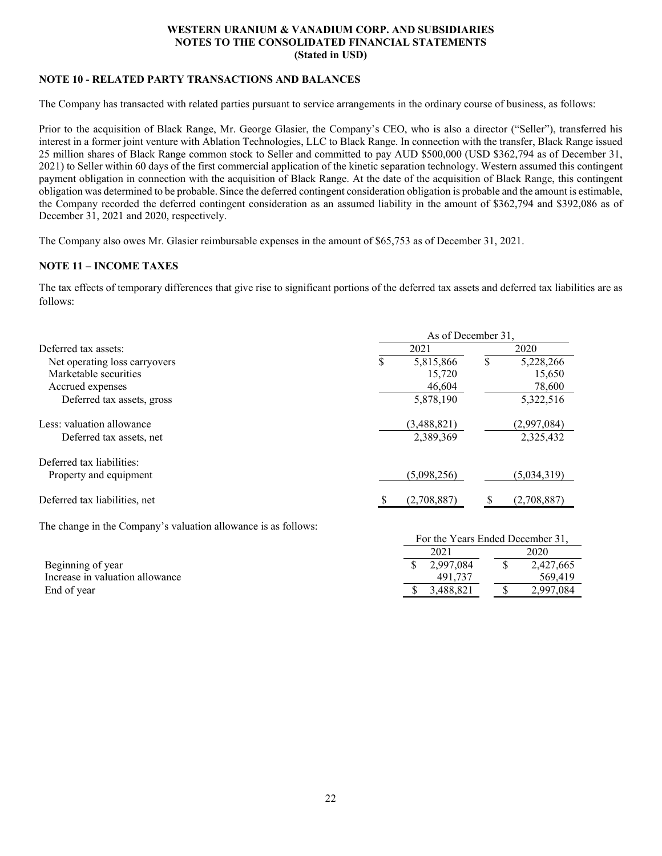#### **NOTE 10 - RELATED PARTY TRANSACTIONS AND BALANCES**

The Company has transacted with related parties pursuant to service arrangements in the ordinary course of business, as follows:

Prior to the acquisition of Black Range, Mr. George Glasier, the Company's CEO, who is also a director ("Seller"), transferred his interest in a former joint venture with Ablation Technologies, LLC to Black Range. In connection with the transfer, Black Range issued 25 million shares of Black Range common stock to Seller and committed to pay AUD \$500,000 (USD \$362,794 as of December 31, 2021) to Seller within 60 days of the first commercial application of the kinetic separation technology. Western assumed this contingent payment obligation in connection with the acquisition of Black Range. At the date of the acquisition of Black Range, this contingent obligation was determined to be probable. Since the deferred contingent consideration obligation is probable and the amount is estimable, the Company recorded the deferred contingent consideration as an assumed liability in the amount of \$362,794 and \$392,086 as of December 31, 2021 and 2020, respectively.

The Company also owes Mr. Glasier reimbursable expenses in the amount of \$65,753 as of December 31, 2021.

#### **NOTE 11 – INCOME TAXES**

The tax effects of temporary differences that give rise to significant portions of the deferred tax assets and deferred tax liabilities are as follows:

|                                                                | As of December 31. |             |      |                                 |  |  |
|----------------------------------------------------------------|--------------------|-------------|------|---------------------------------|--|--|
| Deferred tax assets:                                           | 2021               |             | 2020 |                                 |  |  |
| Net operating loss carryovers                                  | \$                 | 5,815,866   | \$   | 5,228,266                       |  |  |
| Marketable securities                                          |                    | 15,720      |      | 15,650                          |  |  |
| Accrued expenses                                               |                    | 46,604      |      | 78,600                          |  |  |
| Deferred tax assets, gross                                     |                    | 5,878,190   |      | 5,322,516                       |  |  |
| Less: valuation allowance                                      |                    | (3,488,821) |      | (2,997,084)                     |  |  |
| Deferred tax assets, net                                       |                    | 2,389,369   |      | 2,325,432                       |  |  |
| Deferred tax liabilities:                                      |                    |             |      |                                 |  |  |
| Property and equipment                                         |                    | (5,098,256) |      | (5,034,319)                     |  |  |
| Deferred tax liabilities, net                                  |                    | (2,708,887) |      | (2,708,887)                     |  |  |
| The change in the Company's valuation allowance is as follows: |                    |             |      | For the Vears Ended December 31 |  |  |

|                                 | Tor the Teats Ended December 31. |           |  |           |  |  |
|---------------------------------|----------------------------------|-----------|--|-----------|--|--|
|                                 | 2021                             |           |  | 2020      |  |  |
| Beginning of year               |                                  | 2,997,084 |  | 2,427,665 |  |  |
| Increase in valuation allowance |                                  | 491.737   |  | 569,419   |  |  |
| End of year                     |                                  | 3.488.821 |  | 2,997,084 |  |  |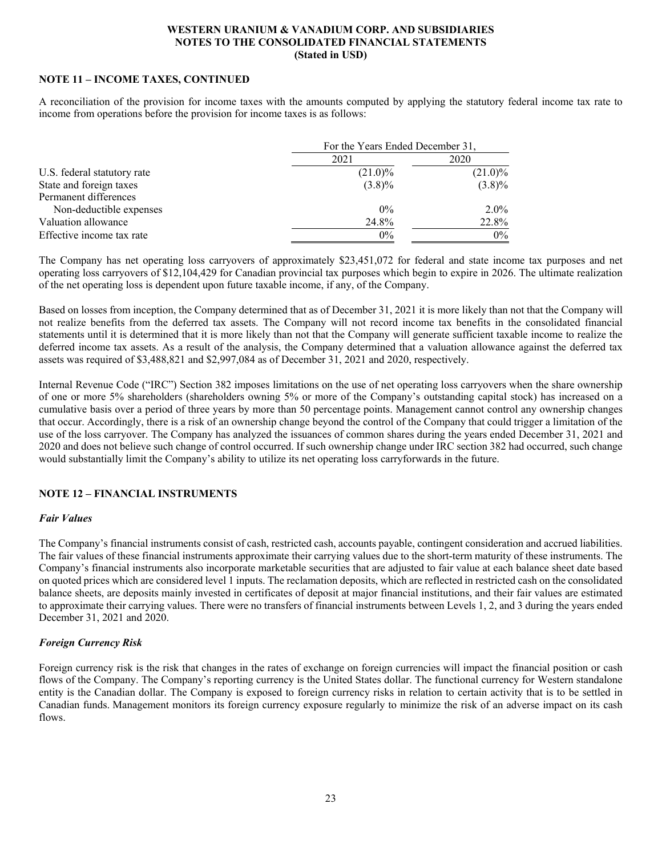## **NOTE 11 – INCOME TAXES, CONTINUED**

A reconciliation of the provision for income taxes with the amounts computed by applying the statutory federal income tax rate to income from operations before the provision for income taxes is as follows:

|                             | For the Years Ended December 31, |            |  |  |
|-----------------------------|----------------------------------|------------|--|--|
|                             | 2021                             | 2020       |  |  |
| U.S. federal statutory rate | $(21.0)\%$                       | $(21.0)\%$ |  |  |
| State and foreign taxes     | $(3.8)\%$                        | $(3.8)\%$  |  |  |
| Permanent differences       |                                  |            |  |  |
| Non-deductible expenses     | $0\%$                            | $2.0\%$    |  |  |
| Valuation allowance         | 24.8%                            | 22.8%      |  |  |
| Effective income tax rate   | $0\%$                            | $0\%$      |  |  |

The Company has net operating loss carryovers of approximately \$23,451,072 for federal and state income tax purposes and net operating loss carryovers of \$12,104,429 for Canadian provincial tax purposes which begin to expire in 2026. The ultimate realization of the net operating loss is dependent upon future taxable income, if any, of the Company.

Based on losses from inception, the Company determined that as of December 31, 2021 it is more likely than not that the Company will not realize benefits from the deferred tax assets. The Company will not record income tax benefits in the consolidated financial statements until it is determined that it is more likely than not that the Company will generate sufficient taxable income to realize the deferred income tax assets. As a result of the analysis, the Company determined that a valuation allowance against the deferred tax assets was required of \$3,488,821 and \$2,997,084 as of December 31, 2021 and 2020, respectively.

Internal Revenue Code ("IRC") Section 382 imposes limitations on the use of net operating loss carryovers when the share ownership of one or more 5% shareholders (shareholders owning 5% or more of the Company's outstanding capital stock) has increased on a cumulative basis over a period of three years by more than 50 percentage points. Management cannot control any ownership changes that occur. Accordingly, there is a risk of an ownership change beyond the control of the Company that could trigger a limitation of the use of the loss carryover. The Company has analyzed the issuances of common shares during the years ended December 31, 2021 and 2020 and does not believe such change of control occurred. If such ownership change under IRC section 382 had occurred, such change would substantially limit the Company's ability to utilize its net operating loss carryforwards in the future.

## **NOTE 12 – FINANCIAL INSTRUMENTS**

#### *Fair Values*

The Company's financial instruments consist of cash, restricted cash, accounts payable, contingent consideration and accrued liabilities. The fair values of these financial instruments approximate their carrying values due to the short-term maturity of these instruments. The Company's financial instruments also incorporate marketable securities that are adjusted to fair value at each balance sheet date based on quoted prices which are considered level 1 inputs. The reclamation deposits, which are reflected in restricted cash on the consolidated balance sheets, are deposits mainly invested in certificates of deposit at major financial institutions, and their fair values are estimated to approximate their carrying values. There were no transfers of financial instruments between Levels 1, 2, and 3 during the years ended December 31, 2021 and 2020.

## *Foreign Currency Risk*

Foreign currency risk is the risk that changes in the rates of exchange on foreign currencies will impact the financial position or cash flows of the Company. The Company's reporting currency is the United States dollar. The functional currency for Western standalone entity is the Canadian dollar. The Company is exposed to foreign currency risks in relation to certain activity that is to be settled in Canadian funds. Management monitors its foreign currency exposure regularly to minimize the risk of an adverse impact on its cash flows.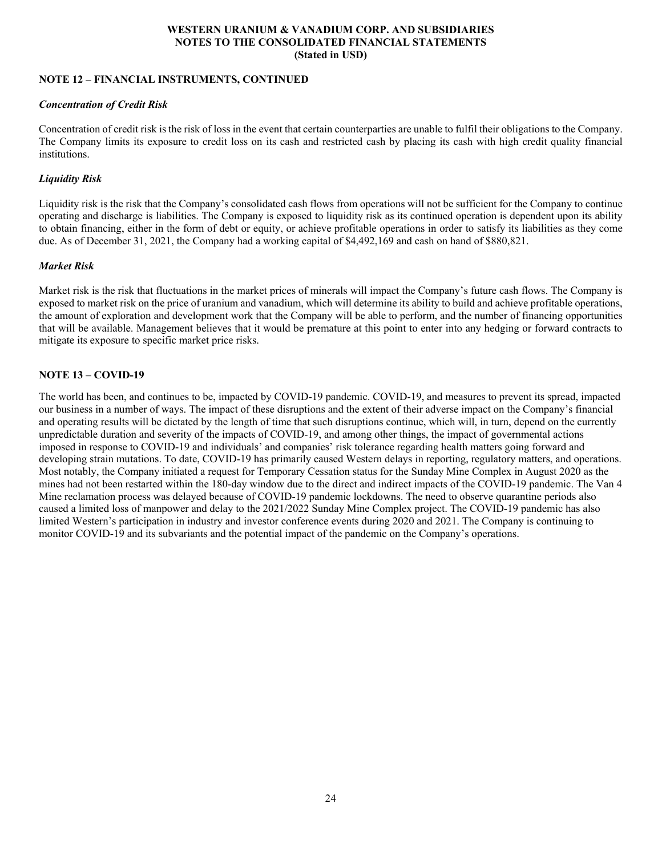## **NOTE 12 – FINANCIAL INSTRUMENTS, CONTINUED**

## *Concentration of Credit Risk*

Concentration of credit risk is the risk of loss in the event that certain counterparties are unable to fulfil their obligations to the Company. The Company limits its exposure to credit loss on its cash and restricted cash by placing its cash with high credit quality financial institutions.

## *Liquidity Risk*

Liquidity risk is the risk that the Company's consolidated cash flows from operations will not be sufficient for the Company to continue operating and discharge is liabilities. The Company is exposed to liquidity risk as its continued operation is dependent upon its ability to obtain financing, either in the form of debt or equity, or achieve profitable operations in order to satisfy its liabilities as they come due. As of December 31, 2021, the Company had a working capital of \$4,492,169 and cash on hand of \$880,821.

#### *Market Risk*

Market risk is the risk that fluctuations in the market prices of minerals will impact the Company's future cash flows. The Company is exposed to market risk on the price of uranium and vanadium, which will determine its ability to build and achieve profitable operations, the amount of exploration and development work that the Company will be able to perform, and the number of financing opportunities that will be available. Management believes that it would be premature at this point to enter into any hedging or forward contracts to mitigate its exposure to specific market price risks.

## **NOTE 13 – COVID-19**

The world has been, and continues to be, impacted by COVID-19 pandemic. COVID-19, and measures to prevent its spread, impacted our business in a number of ways. The impact of these disruptions and the extent of their adverse impact on the Company's financial and operating results will be dictated by the length of time that such disruptions continue, which will, in turn, depend on the currently unpredictable duration and severity of the impacts of COVID-19, and among other things, the impact of governmental actions imposed in response to COVID-19 and individuals' and companies' risk tolerance regarding health matters going forward and developing strain mutations. To date, COVID-19 has primarily caused Western delays in reporting, regulatory matters, and operations. Most notably, the Company initiated a request for Temporary Cessation status for the Sunday Mine Complex in August 2020 as the mines had not been restarted within the 180-day window due to the direct and indirect impacts of the COVID-19 pandemic. The Van 4 Mine reclamation process was delayed because of COVID-19 pandemic lockdowns. The need to observe quarantine periods also caused a limited loss of manpower and delay to the 2021/2022 Sunday Mine Complex project. The COVID-19 pandemic has also limited Western's participation in industry and investor conference events during 2020 and 2021. The Company is continuing to monitor COVID-19 and its subvariants and the potential impact of the pandemic on the Company's operations.